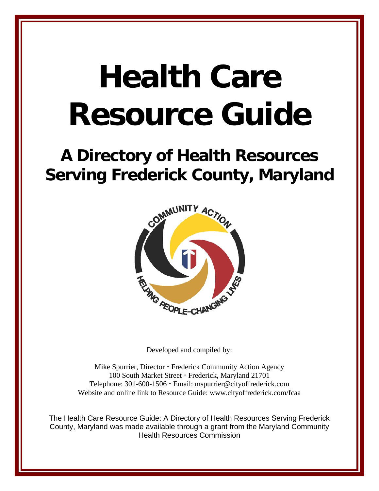# **Health Care Resource Guide**

## **A Directory of Health Resources Serving Frederick County, Maryland**



Developed and compiled by:

Mike Spurrier, Director · Frederick Community Action Agency 100 South Market Street · Frederick, Maryland 21701 Telephone: 301-600-1506 Email: mspurrier@cityoffrederick.com Website and online link to Resource Guide: www.cityoffrederick.com/fcaa

The Health Care Resource Guide: A Directory of Health Resources Serving Frederick County, Maryland was made available through a grant from the Maryland Community Health Resources Commission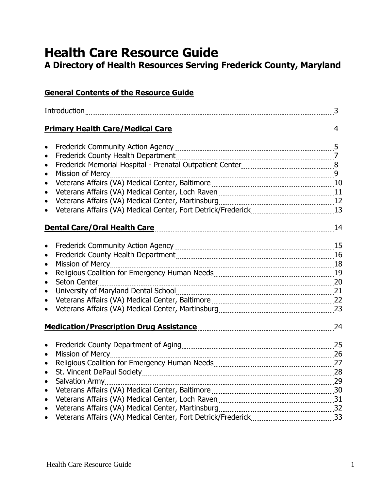### **Health Care Resource Guide**

**A Directory of Health Resources Serving Frederick County, Maryland**

| <b>General Contents of the Resource Guide</b>                                                                               |    |
|-----------------------------------------------------------------------------------------------------------------------------|----|
|                                                                                                                             |    |
|                                                                                                                             |    |
| $\bullet$                                                                                                                   |    |
| $\bullet$                                                                                                                   |    |
| Frederick Memorial Hospital - Prenatal Outpatient Center [111] [1201] [2013] [30] [30] [30] [30] [30] [30] [30<br>$\bullet$ |    |
| $\bullet$                                                                                                                   |    |
| $\bullet$                                                                                                                   |    |
| $\bullet$                                                                                                                   |    |
| $\bullet$                                                                                                                   |    |
|                                                                                                                             |    |
| <b>Dental Care/Oral Health Care</b>                                                                                         |    |
| $\bullet$                                                                                                                   |    |
| $\bullet$                                                                                                                   |    |
| $\bullet$                                                                                                                   |    |
| $\bullet$                                                                                                                   |    |
| $\bullet$                                                                                                                   |    |
| $\bullet$                                                                                                                   |    |
| $\bullet$                                                                                                                   |    |
|                                                                                                                             |    |
| Medication/Prescription Drug Assistance Manuscription of the Medication (Prescription Drug Assistance                       | 24 |
|                                                                                                                             | 25 |
| Mission of Mercy                                                                                                            | 26 |
| $\bullet$                                                                                                                   |    |
| $\bullet$                                                                                                                   |    |
| <b>Salvation Army</b><br>$\bullet$                                                                                          |    |
| $\bullet$                                                                                                                   |    |
| $\bullet$                                                                                                                   |    |
| $\bullet$                                                                                                                   |    |
|                                                                                                                             |    |
|                                                                                                                             |    |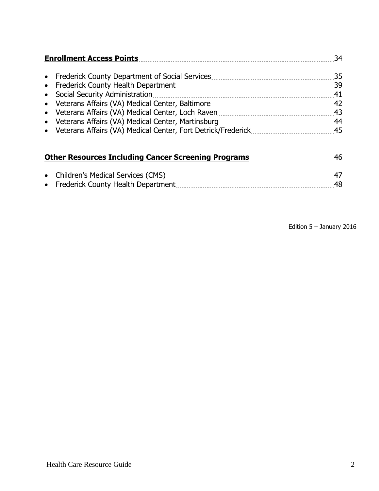| <b>Enrollment Access Points</b><br>34 |          |  |
|---------------------------------------|----------|--|
|                                       | -39      |  |
| • Social Security Administration      | 41       |  |
|                                       | 43       |  |
|                                       | 44<br>45 |  |
|                                       |          |  |

| <b>Other Resources Including Cancer Screening Programs</b><br>46 I |  |  |
|--------------------------------------------------------------------|--|--|
|                                                                    |  |  |
| • Children's Medical Services (CMS)                                |  |  |
| • Frederick County Health Department                               |  |  |

Edition 5 – January 2016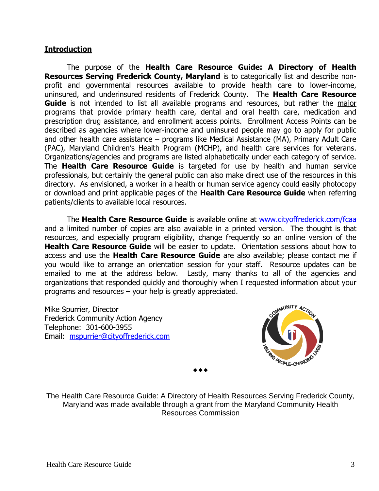#### **Introduction**

The purpose of the **Health Care Resource Guide: A Directory of Health Resources Serving Frederick County, Maryland** is to categorically list and describe nonprofit and governmental resources available to provide health care to lower-income, uninsured, and underinsured residents of Frederick County. The **Health Care Resource Guide** is not intended to list all available programs and resources, but rather the major programs that provide primary health care, dental and oral health care, medication and prescription drug assistance, and enrollment access points. Enrollment Access Points can be described as agencies where lower-income and uninsured people may go to apply for public and other health care assistance – programs like Medical Assistance (MA), Primary Adult Care (PAC), Maryland Children's Health Program (MCHP), and health care services for veterans. Organizations/agencies and programs are listed alphabetically under each category of service. The **Health Care Resource Guide** is targeted for use by health and human service professionals, but certainly the general public can also make direct use of the resources in this directory. As envisioned, a worker in a health or human service agency could easily photocopy or download and print applicable pages of the **Health Care Resource Guide** when referring patients/clients to available local resources.

The **Health Care Resource Guide** is available online at [www.cityoffrederick.com/fcaa](http://www.cityoffrederick.com/fcaa) and a limited number of copies are also available in a printed version. The thought is that resources, and especially program eligibility, change frequently so an online version of the **Health Care Resource Guide** will be easier to update. Orientation sessions about how to access and use the **Health Care Resource Guide** are also available; please contact me if you would like to arrange an orientation session for your staff. Resource updates can be emailed to me at the address below. Lastly, many thanks to all of the agencies and organizations that responded quickly and thoroughly when I requested information about your programs and resources – your help is greatly appreciated.

Mike Spurrier, Director Frederick Community Action Agency Telephone: 301-600-3955 Email: [mspurrier@cityoffrederick.com](mailto:mspurrier@cityoffrederick.com)



The Health Care Resource Guide: A Directory of Health Resources Serving Frederick County, Maryland was made available through a grant from the Maryland Community Health Resources Commission

 $\bullet\bullet\bullet$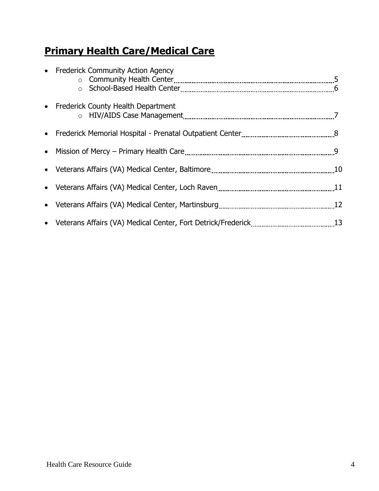#### **Primary Health Care/Medical Care**

| • Frederick Community Action Agency  |  |
|--------------------------------------|--|
| • Frederick County Health Department |  |
|                                      |  |
|                                      |  |
|                                      |  |
|                                      |  |
|                                      |  |
|                                      |  |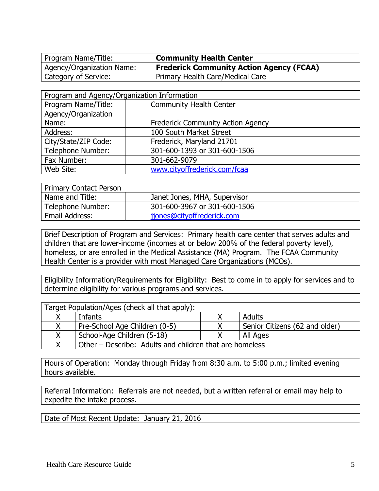Program Name/Title: **Community Health Center**

Agency/Organization Name: **Frederick Community Action Agency (FCAA)** Category of Service: Primary Health Care/Medical Care

| Program and Agency/Organization Information |                                          |  |
|---------------------------------------------|------------------------------------------|--|
| Program Name/Title:                         | <b>Community Health Center</b>           |  |
| Agency/Organization                         |                                          |  |
| Name:                                       | <b>Frederick Community Action Agency</b> |  |
| Address:                                    | 100 South Market Street                  |  |
| City/State/ZIP Code:                        | Frederick, Maryland 21701                |  |
| Telephone Number:                           | 301-600-1393 or 301-600-1506             |  |
| Fax Number:                                 | 301-662-9079                             |  |
| Web Site:                                   | www.cityoffrederick.com/fcaa             |  |

| <b>Primary Contact Person</b> |                              |
|-------------------------------|------------------------------|
| Name and Title:               | Janet Jones, MHA, Supervisor |
| Telephone Number:             | 301-600-3967 or 301-600-1506 |
| Email Address:                | jjones@cityoffrederick.com   |

Brief Description of Program and Services: Primary health care center that serves adults and children that are lower-income (incomes at or below 200% of the federal poverty level), homeless, or are enrolled in the Medical Assistance (MA) Program. The FCAA Community Health Center is a provider with most Managed Care Organizations (MCOs).

Eligibility Information/Requirements for Eligibility: Best to come in to apply for services and to determine eligibility for various programs and services.

| Target Population/Ages (check all that apply): |                                                         |  |                                |
|------------------------------------------------|---------------------------------------------------------|--|--------------------------------|
|                                                | Infants                                                 |  | <b>Adults</b>                  |
|                                                | Pre-School Age Children (0-5)                           |  | Senior Citizens (62 and older) |
|                                                | School-Age Children (5-18)                              |  | All Ages                       |
|                                                | Other – Describe: Adults and children that are homeless |  |                                |

Hours of Operation: Monday through Friday from 8:30 a.m. to 5:00 p.m.; limited evening hours available.

Referral Information: Referrals are not needed, but a written referral or email may help to expedite the intake process.

Date of Most Recent Update: January 21, 2016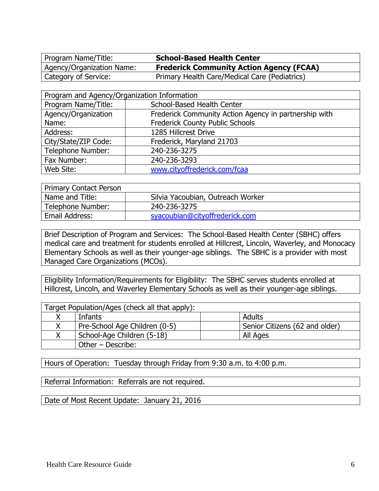Program Name/Title: **School-Based Health Center**

Agency/Organization Name: **Frederick Community Action Agency (FCAA)** Category of Service: Primary Health Care/Medical Care (Pediatrics)

| Program and Agency/Organization Information |                                                       |  |
|---------------------------------------------|-------------------------------------------------------|--|
| Program Name/Title:                         | <b>School-Based Health Center</b>                     |  |
| Agency/Organization                         | Frederick Community Action Agency in partnership with |  |
| Name:                                       | <b>Frederick County Public Schools</b>                |  |
| Address:                                    | 1285 Hillcrest Drive                                  |  |
| City/State/ZIP Code:                        | Frederick, Maryland 21703                             |  |
| <b>Telephone Number:</b>                    | 240-236-3275                                          |  |
| Fax Number:                                 | 240-236-3293                                          |  |
| Web Site:                                   | www.cityoffrederick.com/fcaa                          |  |

| <b>Primary Contact Person</b> |                                   |  |
|-------------------------------|-----------------------------------|--|
| Name and Title:               | Silvia Yacoubian, Outreach Worker |  |
| Telephone Number:             | 240-236-3275                      |  |
| Email Address:                | syacoubian@cityoffrederick.com    |  |

Brief Description of Program and Services: The School-Based Health Center (SBHC) offers medical care and treatment for students enrolled at Hillcrest, Lincoln, Waverley, and Monocacy Elementary Schools as well as their younger-age siblings. The SBHC is a provider with most Managed Care Organizations (MCOs).

Eligibility Information/Requirements for Eligibility: The SBHC serves students enrolled at Hillcrest, Lincoln, and Waverley Elementary Schools as well as their younger-age siblings.

| Target Population/Ages (check all that apply): |                               |                                |  |
|------------------------------------------------|-------------------------------|--------------------------------|--|
|                                                | Infants                       | Adults                         |  |
| X.                                             | Pre-School Age Children (0-5) | Senior Citizens (62 and older) |  |
|                                                | School-Age Children (5-18)    | All Ages                       |  |
|                                                | Other - Describe:             |                                |  |

Hours of Operation: Tuesday through Friday from 9:30 a.m. to 4:00 p.m.

Referral Information: Referrals are not required.

Date of Most Recent Update: January 21, 2016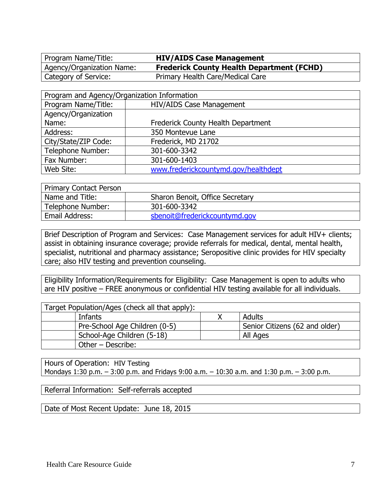Program Name/Title: **HIV/AIDS Case Management**

Agency/Organization Name: **Frederick County Health Department (FCHD)** Category of Service: Primary Health Care/Medical Care

| Program and Agency/Organization Information |                                      |  |
|---------------------------------------------|--------------------------------------|--|
| Program Name/Title:                         | <b>HIV/AIDS Case Management</b>      |  |
| Agency/Organization                         |                                      |  |
| Name:                                       | Frederick County Health Department   |  |
| Address:                                    | 350 Montevue Lane                    |  |
| City/State/ZIP Code:                        | Frederick, MD 21702                  |  |
| <b>Telephone Number:</b>                    | 301-600-3342                         |  |
| Fax Number:                                 | 301-600-1403                         |  |
| Web Site:                                   | www.frederickcountymd.gov/healthdept |  |

| <b>Primary Contact Person</b> |                                 |  |
|-------------------------------|---------------------------------|--|
| Name and Title:               | Sharon Benoit, Office Secretary |  |
| Telephone Number:             | 301-600-3342                    |  |
| Email Address:                | sbenoit@frederickcountymd.gov   |  |

Brief Description of Program and Services: Case Management services for adult HIV+ clients; assist in obtaining insurance coverage; provide referrals for medical, dental, mental health, specialist, nutritional and pharmacy assistance; Seropositive clinic provides for HIV specialty care; also HIV testing and prevention counseling.

Eligibility Information/Requirements for Eligibility: Case Management is open to adults who are HIV positive – FREE anonymous or confidential HIV testing available for all individuals.

| Target Population/Ages (check all that apply): |        |                                |
|------------------------------------------------|--------|--------------------------------|
| Infants                                        | Adults |                                |
| Pre-School Age Children (0-5)                  |        | Senior Citizens (62 and older) |
| School-Age Children (5-18)<br>All Ages         |        |                                |
| Other – Describe:                              |        |                                |

Hours of Operation: HIV Testing Mondays 1:30 p.m. – 3:00 p.m. and Fridays 9:00 a.m. – 10:30 a.m. and 1:30 p.m. – 3:00 p.m.

Referral Information: Self-referrals accepted

Date of Most Recent Update: June 18, 2015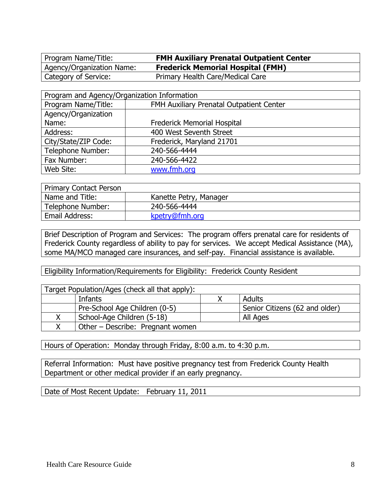Program Name/Title: **FMH Auxiliary Prenatal Outpatient Center**

Agency/Organization Name: **Frederick Memorial Hospital (FMH)** Category of Service: Primary Health Care/Medical Care

| Program and Agency/Organization Information |                                          |  |
|---------------------------------------------|------------------------------------------|--|
| Program Name/Title:                         | FMH Auxiliary Prenatal Outpatient Center |  |
| Agency/Organization                         |                                          |  |
| Name:                                       | <b>Frederick Memorial Hospital</b>       |  |
| Address:                                    | 400 West Seventh Street                  |  |
| City/State/ZIP Code:                        | Frederick, Maryland 21701                |  |
| Telephone Number:                           | 240-566-4444                             |  |
| Fax Number:                                 | 240-566-4422                             |  |
| Web Site:                                   | www.fmh.org                              |  |

| <b>Primary Contact Person</b> |                        |  |
|-------------------------------|------------------------|--|
| Name and Title:               | Kanette Petry, Manager |  |
| Telephone Number:             | 240-566-4444           |  |
| Email Address:                | kpetry@fmh.org         |  |

Brief Description of Program and Services: The program offers prenatal care for residents of Frederick County regardless of ability to pay for services. We accept Medical Assistance (MA), some MA/MCO managed care insurances, and self-pay. Financial assistance is available.

Eligibility Information/Requirements for Eligibility: Frederick County Resident

| Target Population/Ages (check all that apply): |                                  |                                |  |
|------------------------------------------------|----------------------------------|--------------------------------|--|
|                                                | Adults<br>Infants                |                                |  |
| Pre-School Age Children (0-5)                  |                                  | Senior Citizens (62 and older) |  |
| School-Age Children (5-18)<br>All Ages         |                                  |                                |  |
|                                                | Other – Describe: Pregnant women |                                |  |

Hours of Operation: Monday through Friday, 8:00 a.m. to 4:30 p.m.

Referral Information: Must have positive pregnancy test from Frederick County Health Department or other medical provider if an early pregnancy.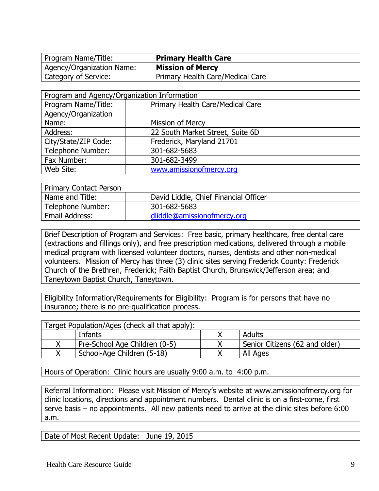Program Name/Title: **Primary Health Care** Agency/Organization Name: **Mission of Mercy**

Category of Service: Primary Health Care/Medical Care

| Program and Agency/Organization Information |                                  |  |
|---------------------------------------------|----------------------------------|--|
| Program Name/Title:                         | Primary Health Care/Medical Care |  |
| Agency/Organization                         |                                  |  |
| Name:                                       | Mission of Mercy                 |  |
| Address:                                    | 22 South Market Street, Suite 6D |  |
| City/State/ZIP Code:                        | Frederick, Maryland 21701        |  |
| Telephone Number:                           | 301-682-5683                     |  |
| Fax Number:                                 | 301-682-3499                     |  |
| Web Site:                                   | www.amissionofmercy.org          |  |

| <b>Primary Contact Person</b> |                                       |
|-------------------------------|---------------------------------------|
| Name and Title:               | David Liddle, Chief Financial Officer |
| Telephone Number:             | 301-682-5683                          |
| Email Address:                | dliddle@amissionofmercy.org           |

Brief Description of Program and Services: Free basic, primary healthcare, free dental care (extractions and fillings only), and free prescription medications, delivered through a mobile medical program with licensed volunteer doctors, nurses, dentists and other non-medical volunteers. Mission of Mercy has three (3) clinic sites serving Frederick County: Frederick Church of the Brethren, Frederick; Faith Baptist Church, Brunswick/Jefferson area; and Taneytown Baptist Church, Taneytown.

Eligibility Information/Requirements for Eligibility: Program is for persons that have no insurance; there is no pre-qualification process.

| Target Population/Ages (check all that apply): |                               |  |                                |
|------------------------------------------------|-------------------------------|--|--------------------------------|
| Adults<br>Infants                              |                               |  |                                |
|                                                | Pre-School Age Children (0-5) |  | Senior Citizens (62 and older) |
|                                                | School-Age Children (5-18)    |  | All Ages                       |

Hours of Operation: Clinic hours are usually 9:00 a.m. to 4:00 p.m.

Referral Information: Please visit Mission of Mercy's website at [www.amissionofmercy.org](http://www.amissionofmercy.org/) for clinic locations, directions and appointment numbers. Dental clinic is on a first-come, first serve basis – no appointments. All new patients need to arrive at the clinic sites before 6:00 a.m.

Date of Most Recent Update: June 19, 2015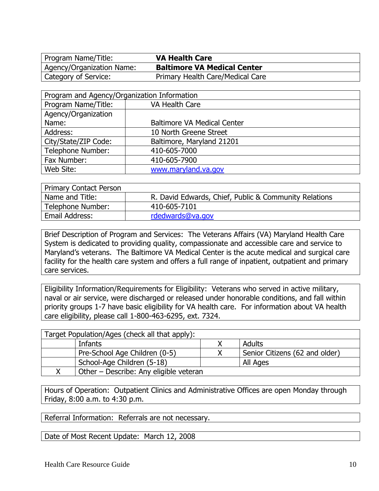Agency/Organization Name: **Baltimore VA Medical Center** Category of Service: Primary Health Care/Medical Care

| Program and Agency/Organization Information |                                    |  |
|---------------------------------------------|------------------------------------|--|
| Program Name/Title:                         | VA Health Care                     |  |
| Agency/Organization                         |                                    |  |
| Name:                                       | <b>Baltimore VA Medical Center</b> |  |
| Address:                                    | 10 North Greene Street             |  |
| City/State/ZIP Code:                        | Baltimore, Maryland 21201          |  |
| Telephone Number:                           | 410-605-7000                       |  |
| Fax Number:                                 | 410-605-7900                       |  |
| Web Site:                                   | www.maryland.va.gov                |  |

| <b>Primary Contact Person</b> |                                                       |
|-------------------------------|-------------------------------------------------------|
| Name and Title:               | R. David Edwards, Chief, Public & Community Relations |
| Telephone Number:             | 410-605-7101                                          |
| Email Address:                | rdedwards@va.gov                                      |

Brief Description of Program and Services: The Veterans Affairs (VA) Maryland Health Care System is dedicated to providing quality, compassionate and accessible care and service to Maryland's veterans. The Baltimore VA Medical Center is the acute medical and surgical care facility for the health care system and offers a full range of inpatient, outpatient and primary care services.

Eligibility Information/Requirements for Eligibility: Veterans who served in active military, naval or air service, were discharged or released under honorable conditions, and fall within priority groups 1-7 have basic eligibility for VA health care. For information about VA health care eligibility, please call 1-800-463-6295, ext. 7324.

| Target Population/Ages (check all that apply): |  |                                |
|------------------------------------------------|--|--------------------------------|
| Adults<br>Infants                              |  |                                |
| Pre-School Age Children (0-5)                  |  | Senior Citizens (62 and older) |
| School-Age Children (5-18)<br>All Ages         |  |                                |
| Other – Describe: Any eligible veteran         |  |                                |

Hours of Operation: Outpatient Clinics and Administrative Offices are open Monday through Friday, 8:00 a.m. to 4:30 p.m.

Referral Information: Referrals are not necessary.

Date of Most Recent Update: March 12, 2008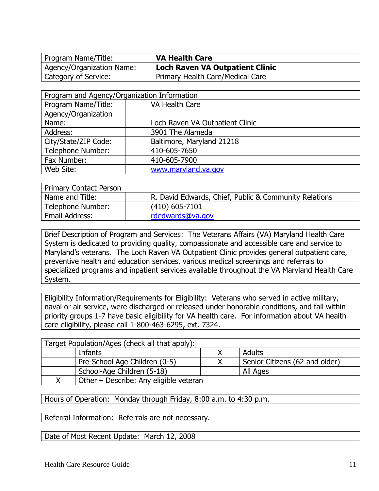Agency/Organization Name: **Loch Raven VA Outpatient Clinic** Category of Service: Primary Health Care/Medical Care

| Program and Agency/Organization Information |                                 |  |
|---------------------------------------------|---------------------------------|--|
| Program Name/Title:                         | VA Health Care                  |  |
| Agency/Organization                         |                                 |  |
| Name:                                       | Loch Raven VA Outpatient Clinic |  |
| Address:                                    | 3901 The Alameda                |  |
| City/State/ZIP Code:                        | Baltimore, Maryland 21218       |  |
| Telephone Number:                           | 410-605-7650                    |  |
| Fax Number:                                 | 410-605-7900                    |  |
| Web Site:                                   | www.maryland.va.gov             |  |

| Primary Contact Person |                                                       |
|------------------------|-------------------------------------------------------|
| Name and Title:        | R. David Edwards, Chief, Public & Community Relations |
| Telephone Number:      | $(410)$ 605-7101                                      |
| Email Address:         | rdedwards@va.gov                                      |

Brief Description of Program and Services: The Veterans Affairs (VA) Maryland Health Care System is dedicated to providing quality, compassionate and accessible care and service to Maryland's veterans. The Loch Raven VA Outpatient Clinic provides general outpatient care, preventive health and education services, various medical screenings and referrals to specialized programs and inpatient services available throughout the VA Maryland Health Care System.

Eligibility Information/Requirements for Eligibility: Veterans who served in active military, naval or air service, were discharged or released under honorable conditions, and fall within priority groups 1-7 have basic eligibility for VA health care. For information about VA health care eligibility, please call 1-800-463-6295, ext. 7324.

| Target Population/Ages (check all that apply): |                                        |  |                                |
|------------------------------------------------|----------------------------------------|--|--------------------------------|
| Adults<br>Infants                              |                                        |  |                                |
|                                                | Pre-School Age Children (0-5)          |  | Senior Citizens (62 and older) |
|                                                | School-Age Children (5-18)             |  | All Ages                       |
|                                                | Other – Describe: Any eligible veteran |  |                                |

Hours of Operation: Monday through Friday, 8:00 a.m. to 4:30 p.m.

Referral Information: Referrals are not necessary.

Date of Most Recent Update: March 12, 2008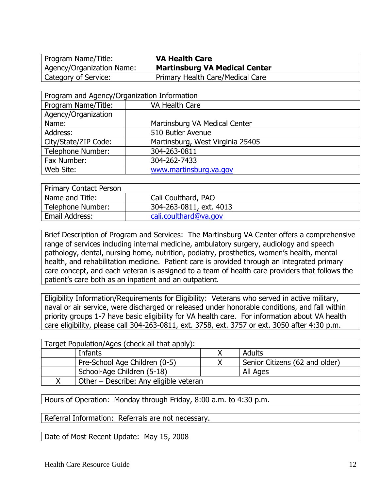Agency/Organization Name: **Martinsburg VA Medical Center** Category of Service: Primary Health Care/Medical Care

| Program and Agency/Organization Information |                                  |  |  |
|---------------------------------------------|----------------------------------|--|--|
| Program Name/Title:                         | VA Health Care                   |  |  |
| Agency/Organization                         |                                  |  |  |
| Name:                                       | Martinsburg VA Medical Center    |  |  |
| Address:                                    | 510 Butler Avenue                |  |  |
| City/State/ZIP Code:                        | Martinsburg, West Virginia 25405 |  |  |
| Telephone Number:                           | 304-263-0811                     |  |  |
| Fax Number:                                 | 304-262-7433                     |  |  |
| Web Site:                                   | www.martinsburg.va.gov           |  |  |

| <b>Primary Contact Person</b> |                         |  |
|-------------------------------|-------------------------|--|
| Name and Title:               | Cali Coulthard, PAO     |  |
| Telephone Number:             | 304-263-0811, ext. 4013 |  |
| Email Address:                | cali.coulthard@va.gov   |  |

Brief Description of Program and Services: The Martinsburg VA Center offers a comprehensive range of services including internal medicine, ambulatory surgery, audiology and speech pathology, dental, nursing home, nutrition, podiatry, prosthetics, women's health, mental health, and rehabilitation medicine. Patient care is provided through an integrated primary care concept, and each veteran is assigned to a team of health care providers that follows the patient's care both as an inpatient and an outpatient.

Eligibility Information/Requirements for Eligibility: Veterans who served in active military, naval or air service, were discharged or released under honorable conditions, and fall within priority groups 1-7 have basic eligibility for VA health care. For information about VA health care eligibility, please call 304-263-0811, ext. 3758, ext. 3757 or ext. 3050 after 4:30 p.m.

| Target Population/Ages (check all that apply): |                                        |  |                                |
|------------------------------------------------|----------------------------------------|--|--------------------------------|
| Adults<br>Infants                              |                                        |  |                                |
|                                                | Pre-School Age Children (0-5)          |  | Senior Citizens (62 and older) |
|                                                | School-Age Children (5-18)             |  | All Ages                       |
|                                                | Other - Describe: Any eligible veteran |  |                                |

Hours of Operation: Monday through Friday, 8:00 a.m. to 4:30 p.m.

Referral Information: Referrals are not necessary.

Date of Most Recent Update: May 15, 2008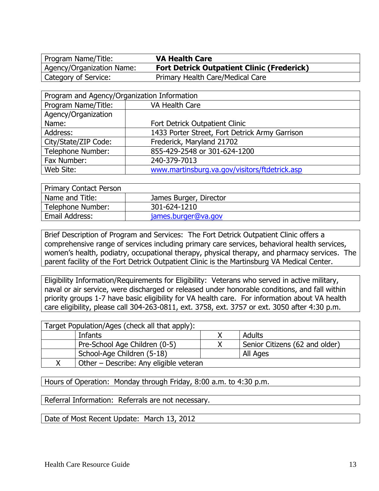Agency/Organization Name: **Fort Detrick Outpatient Clinic (Frederick)** Category of Service: Primary Health Care/Medical Care

| Program and Agency/Organization Information |                                                |  |
|---------------------------------------------|------------------------------------------------|--|
| Program Name/Title:                         | VA Health Care                                 |  |
| Agency/Organization                         |                                                |  |
| Name:                                       | Fort Detrick Outpatient Clinic                 |  |
| Address:                                    | 1433 Porter Street, Fort Detrick Army Garrison |  |
| City/State/ZIP Code:                        | Frederick, Maryland 21702                      |  |
| Telephone Number:                           | 855-429-2548 or 301-624-1200                   |  |
| Fax Number:                                 | 240-379-7013                                   |  |
| Web Site:                                   | www.martinsburg.va.gov/visitors/ftdetrick.asp  |  |

| <b>Primary Contact Person</b> |                        |  |
|-------------------------------|------------------------|--|
| Name and Title:               | James Burger, Director |  |
| Telephone Number:             | 301-624-1210           |  |
| Email Address:                | james.burger@va.gov    |  |

Brief Description of Program and Services: The Fort Detrick Outpatient Clinic offers a comprehensive range of services including primary care services, behavioral health services, women's health, podiatry, occupational therapy, physical therapy, and pharmacy services. The parent facility of the Fort Detrick Outpatient Clinic is the Martinsburg VA Medical Center.

Eligibility Information/Requirements for Eligibility: Veterans who served in active military, naval or air service, were discharged or released under honorable conditions, and fall within priority groups 1-7 have basic eligibility for VA health care. For information about VA health care eligibility, please call 304-263-0811, ext. 3758, ext. 3757 or ext. 3050 after 4:30 p.m.

| Target Population/Ages (check all that apply): |                                        |  |                                |
|------------------------------------------------|----------------------------------------|--|--------------------------------|
| Adults<br>Infants                              |                                        |  |                                |
|                                                | Pre-School Age Children (0-5)          |  | Senior Citizens (62 and older) |
|                                                | School-Age Children (5-18)             |  | All Ages                       |
|                                                | Other - Describe: Any eligible veteran |  |                                |

Hours of Operation: Monday through Friday, 8:00 a.m. to 4:30 p.m.

Referral Information: Referrals are not necessary.

Date of Most Recent Update: March 13, 2012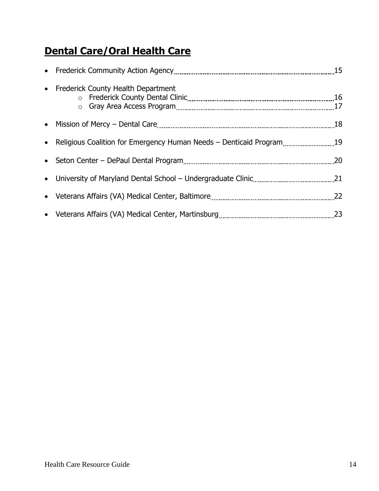#### **Dental Care/Oral Health Care**

| • Frederick County Health Department                                  |  |
|-----------------------------------------------------------------------|--|
|                                                                       |  |
| • Religious Coalition for Emergency Human Needs - Denticaid Program19 |  |
|                                                                       |  |
|                                                                       |  |
|                                                                       |  |
|                                                                       |  |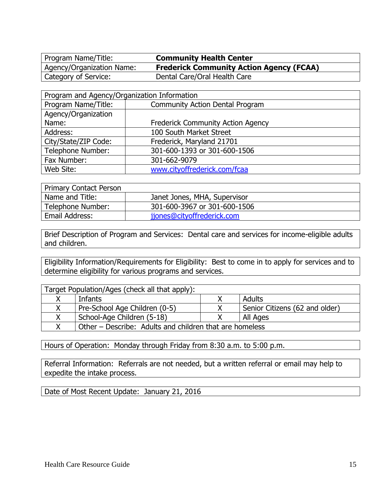Program Name/Title: **Community Health Center** Category of Service: Dental Care/Oral Health Care

Agency/Organization Name: **Frederick Community Action Agency (FCAA)**

| Program and Agency/Organization Information |                                          |  |
|---------------------------------------------|------------------------------------------|--|
| Program Name/Title:                         | <b>Community Action Dental Program</b>   |  |
| Agency/Organization                         |                                          |  |
| Name:                                       | <b>Frederick Community Action Agency</b> |  |
| Address:                                    | 100 South Market Street                  |  |
| City/State/ZIP Code:                        | Frederick, Maryland 21701                |  |
| Telephone Number:                           | 301-600-1393 or 301-600-1506             |  |
| Fax Number:                                 | 301-662-9079                             |  |
| Web Site:                                   | www.cityoffrederick.com/fcaa             |  |

| <b>Primary Contact Person</b> |                              |  |
|-------------------------------|------------------------------|--|
| Name and Title:               | Janet Jones, MHA, Supervisor |  |
| Telephone Number:             | 301-600-3967 or 301-600-1506 |  |
| Email Address:                | jjones@cityoffrederick.com   |  |

Brief Description of Program and Services: Dental care and services for income-eligible adults and children.

Eligibility Information/Requirements for Eligibility: Best to come in to apply for services and to determine eligibility for various programs and services.

| Target Population/Ages (check all that apply): |                                                         |  |                                |
|------------------------------------------------|---------------------------------------------------------|--|--------------------------------|
|                                                | Infants                                                 |  | Adults                         |
|                                                | Pre-School Age Children (0-5)                           |  | Senior Citizens (62 and older) |
|                                                | School-Age Children (5-18)                              |  | All Ages                       |
|                                                | Other – Describe: Adults and children that are homeless |  |                                |

Hours of Operation: Monday through Friday from 8:30 a.m. to 5:00 p.m.

Referral Information: Referrals are not needed, but a written referral or email may help to expedite the intake process.

Date of Most Recent Update: January 21, 2016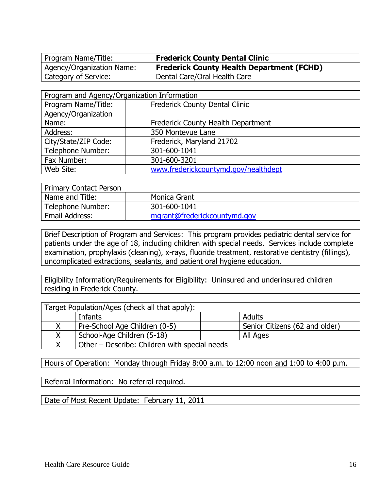Program Name/Title: **Frederick County Dental Clinic** Category of Service: Dental Care/Oral Health Care

Agency/Organization Name: **Frederick County Health Department (FCHD)**

| Program and Agency/Organization Information                  |                                      |  |  |
|--------------------------------------------------------------|--------------------------------------|--|--|
| Program Name/Title:<br><b>Frederick County Dental Clinic</b> |                                      |  |  |
| Agency/Organization                                          |                                      |  |  |
| Name:                                                        | Frederick County Health Department   |  |  |
| Address:                                                     | 350 Montevue Lane                    |  |  |
| City/State/ZIP Code:                                         | Frederick, Maryland 21702            |  |  |
| Telephone Number:                                            | 301-600-1041                         |  |  |
| Fax Number:                                                  | 301-600-3201                         |  |  |
| Web Site:                                                    | www.frederickcountymd.gov/healthdept |  |  |

| Primary Contact Person |                              |
|------------------------|------------------------------|
| Name and Title:        | Monica Grant                 |
| Telephone Number:      | 301-600-1041                 |
| Email Address:         | mgrant@frederickcountymd.gov |

Brief Description of Program and Services: This program provides pediatric dental service for patients under the age of 18, including children with special needs. Services include complete examination, prophylaxis (cleaning), x-rays, fluoride treatment, restorative dentistry (fillings), uncomplicated extractions, sealants, and patient oral hygiene education.

Eligibility Information/Requirements for Eligibility: Uninsured and underinsured children residing in Frederick County.

| Target Population/Ages (check all that apply): |                                               |                                |  |
|------------------------------------------------|-----------------------------------------------|--------------------------------|--|
| Adults<br>Infants                              |                                               |                                |  |
|                                                | Pre-School Age Children (0-5)                 | Senior Citizens (62 and older) |  |
|                                                | School-Age Children (5-18)                    | All Ages                       |  |
|                                                | Other – Describe: Children with special needs |                                |  |

Hours of Operation: Monday through Friday 8:00 a.m. to 12:00 noon and 1:00 to 4:00 p.m.

Referral Information: No referral required.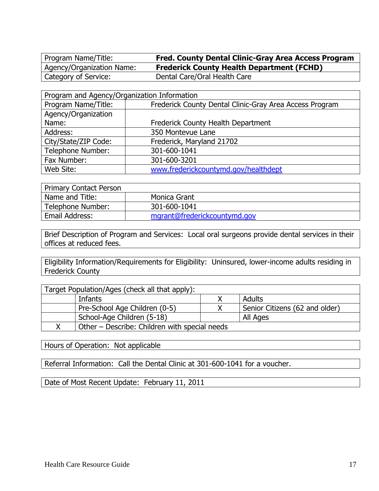Program Name/Title: **Fred. County Dental Clinic-Gray Area Access Program** Category of Service: Dental Care/Oral Health Care

Agency/Organization Name: **Frederick County Health Department (FCHD)**

Program and Agency/Organization Information Program Name/Title: Frederick County Dental Clinic-Gray Area Access Program Agency/Organization Name: **Name: Frederick County Health Department** Address: 250 Montevue Lane City/State/ZIP Code: | Frederick, Maryland 21702 Telephone Number: 301-600-1041 Fax Number: 301-600-3201 Web Site:  $\vert$  [www.frederickcountymd.gov/healthdept](http://www.frederickcountymd.gov/healthdept)

| Primary Contact Person |                              |
|------------------------|------------------------------|
| Name and Title:        | Monica Grant                 |
| Telephone Number:      | 301-600-1041                 |
| <b>Email Address:</b>  | mgrant@frederickcountymd.gov |

Brief Description of Program and Services: Local oral surgeons provide dental services in their offices at reduced fees.

Eligibility Information/Requirements for Eligibility: Uninsured, lower-income adults residing in Frederick County

| Target Population/Ages (check all that apply): |                                               |  |                                |
|------------------------------------------------|-----------------------------------------------|--|--------------------------------|
|                                                | Infants                                       |  | Adults                         |
|                                                | Pre-School Age Children (0-5)                 |  | Senior Citizens (62 and older) |
|                                                | School-Age Children (5-18)                    |  | All Ages                       |
|                                                | Other – Describe: Children with special needs |  |                                |

Hours of Operation: Not applicable

Referral Information: Call the Dental Clinic at 301-600-1041 for a voucher.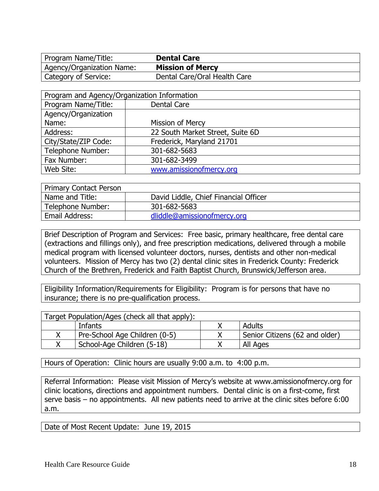Program Name/Title: **Dental Care** Agency/Organization Name: **Mission of Mercy**

Category of Service: Dental Care/Oral Health Care

| Program and Agency/Organization Information |                                  |  |
|---------------------------------------------|----------------------------------|--|
| Program Name/Title:                         | Dental Care                      |  |
| Agency/Organization                         |                                  |  |
| Name:                                       | Mission of Mercy                 |  |
| Address:                                    | 22 South Market Street, Suite 6D |  |
| City/State/ZIP Code:                        | Frederick, Maryland 21701        |  |
| Telephone Number:                           | 301-682-5683                     |  |
| Fax Number:                                 | 301-682-3499                     |  |
| Web Site:                                   | www.amissionofmercy.org          |  |

| <b>Primary Contact Person</b> |                                       |
|-------------------------------|---------------------------------------|
| Name and Title:               | David Liddle, Chief Financial Officer |
| Telephone Number:             | 301-682-5683                          |
| Email Address:                | dliddle@amissionofmercy.org           |

Brief Description of Program and Services: Free basic, primary healthcare, free dental care (extractions and fillings only), and free prescription medications, delivered through a mobile medical program with licensed volunteer doctors, nurses, dentists and other non-medical volunteers. Mission of Mercy has two (2) dental clinic sites in Frederick County: Frederick Church of the Brethren, Frederick and Faith Baptist Church, Brunswick/Jefferson area.

Eligibility Information/Requirements for Eligibility: Program is for persons that have no insurance; there is no pre-qualification process.

| Target Population/Ages (check all that apply): |                               |  |                                  |
|------------------------------------------------|-------------------------------|--|----------------------------------|
|                                                | Infants                       |  | Adults                           |
|                                                | Pre-School Age Children (0-5) |  | ' Senior Citizens (62 and older) |
|                                                | School-Age Children (5-18)    |  | All Ages                         |

Hours of Operation: Clinic hours are usually 9:00 a.m. to 4:00 p.m.

Referral Information: Please visit Mission of Mercy's website at [www.amissionofmercy.org](http://www.amissionofmercy.org/) for clinic locations, directions and appointment numbers. Dental clinic is on a first-come, first serve basis – no appointments. All new patients need to arrive at the clinic sites before 6:00 a.m.

Date of Most Recent Update: June 19, 2015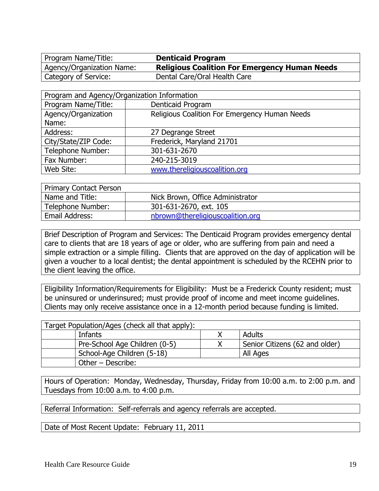Program Name/Title: **Denticaid Program**

Agency/Organization Name: **Religious Coalition For Emergency Human Needs** Category of Service: Dental Care/Oral Health Care

| Program and Agency/Organization Information |                                               |  |
|---------------------------------------------|-----------------------------------------------|--|
| Program Name/Title:                         | Denticaid Program                             |  |
| Agency/Organization                         | Religious Coalition For Emergency Human Needs |  |
| Name:                                       |                                               |  |
| Address:                                    | 27 Degrange Street                            |  |
| City/State/ZIP Code:                        | Frederick, Maryland 21701                     |  |
| Telephone Number:                           | 301-631-2670                                  |  |
| Fax Number:                                 | 240-215-3019                                  |  |
| Web Site:                                   | www.thereligiouscoalition.org                 |  |

| <b>Primary Contact Person</b> |                                  |
|-------------------------------|----------------------------------|
| Name and Title:               | Nick Brown, Office Administrator |
| Telephone Number:             | 301-631-2670, ext. 105           |
| Email Address:                | nbrown@thereligiouscoalition.org |

Brief Description of Program and Services: The Denticaid Program provides emergency dental care to clients that are 18 years of age or older, who are suffering from pain and need a simple extraction or a simple filling. Clients that are approved on the day of application will be given a voucher to a local dentist; the dental appointment is scheduled by the RCEHN prior to the client leaving the office.

Eligibility Information/Requirements for Eligibility: Must be a Frederick County resident; must be uninsured or underinsured; must provide proof of income and meet income guidelines. Clients may only receive assistance once in a 12-month period because funding is limited.

| Target Population/Ages (check all that apply): |  |                                |  |
|------------------------------------------------|--|--------------------------------|--|
| Infants                                        |  | Adults                         |  |
| Pre-School Age Children (0-5)                  |  | Senior Citizens (62 and older) |  |
| School-Age Children (5-18)                     |  | All Ages                       |  |
| Other – Describe:                              |  |                                |  |

Hours of Operation: Monday, Wednesday, Thursday, Friday from 10:00 a.m. to 2:00 p.m. and Tuesdays from 10:00 a.m. to 4:00 p.m.

Referral Information: Self-referrals and agency referrals are accepted.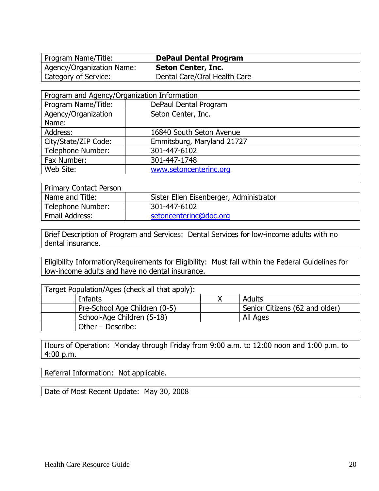Program Name/Title: **DePaul Dental Program** Agency/Organization Name: **Seton Center, Inc.**

Category of Service: Dental Care/Oral Health Care

| Program and Agency/Organization Information |                            |  |
|---------------------------------------------|----------------------------|--|
| Program Name/Title:                         | DePaul Dental Program      |  |
| Agency/Organization                         | Seton Center, Inc.         |  |
| Name:                                       |                            |  |
| Address:                                    | 16840 South Seton Avenue   |  |
| City/State/ZIP Code:                        | Emmitsburg, Maryland 21727 |  |
| Telephone Number:                           | 301-447-6102               |  |
| Fax Number:                                 | 301-447-1748               |  |
| Web Site:                                   | www.setoncenterinc.org     |  |

| <b>Primary Contact Person</b> |                                         |
|-------------------------------|-----------------------------------------|
| Name and Title:               | Sister Ellen Eisenberger, Administrator |
| Telephone Number:             | 301-447-6102                            |
| Email Address:                | setoncenterinc@doc.org                  |

Brief Description of Program and Services: Dental Services for low-income adults with no dental insurance.

Eligibility Information/Requirements for Eligibility: Must fall within the Federal Guidelines for low-income adults and have no dental insurance.

| Target Population/Ages (check all that apply): |  |                                |  |
|------------------------------------------------|--|--------------------------------|--|
| Infants                                        |  | <b>Adults</b>                  |  |
| Pre-School Age Children (0-5)                  |  | Senior Citizens (62 and older) |  |
| School-Age Children (5-18)                     |  | All Ages                       |  |
| Other - Describe:                              |  |                                |  |

Hours of Operation: Monday through Friday from 9:00 a.m. to 12:00 noon and 1:00 p.m. to 4:00 p.m.

Referral Information: Not applicable.

Date of Most Recent Update: May 30, 2008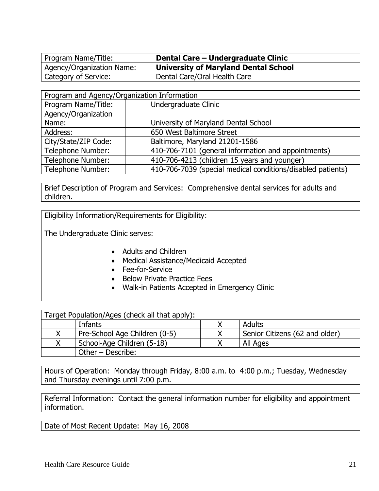Program Name/Title: **Dental Care – Undergraduate Clinic** Category of Service: Dental Care/Oral Health Care

Agency/Organization Name: **University of Maryland Dental School**

| Program and Agency/Organization Information |                                                             |  |
|---------------------------------------------|-------------------------------------------------------------|--|
| Program Name/Title:                         | Undergraduate Clinic                                        |  |
| Agency/Organization                         |                                                             |  |
| Name:                                       | University of Maryland Dental School                        |  |
| Address:                                    | 650 West Baltimore Street                                   |  |
| City/State/ZIP Code:                        | Baltimore, Maryland 21201-1586                              |  |
| <b>Telephone Number:</b>                    | 410-706-7101 (general information and appointments)         |  |
| Telephone Number:                           | 410-706-4213 (children 15 years and younger)                |  |
| Telephone Number:                           | 410-706-7039 (special medical conditions/disabled patients) |  |

Brief Description of Program and Services: Comprehensive dental services for adults and children.

Eligibility Information/Requirements for Eligibility:

The Undergraduate Clinic serves:

- Adults and Children
- Medical Assistance/Medicaid Accepted
- Fee-for-Service
- Below Private Practice Fees
- Walk-in Patients Accepted in Emergency Clinic

| Target Population/Ages (check all that apply): |                               |  |                                |
|------------------------------------------------|-------------------------------|--|--------------------------------|
|                                                | Adults<br>Infants             |  |                                |
|                                                | Pre-School Age Children (0-5) |  | Senior Citizens (62 and older) |
|                                                | School-Age Children (5-18)    |  | All Ages                       |
|                                                | Other - Describe:             |  |                                |

Hours of Operation: Monday through Friday, 8:00 a.m. to 4:00 p.m.; Tuesday, Wednesday and Thursday evenings until 7:00 p.m.

Referral Information: Contact the general information number for eligibility and appointment information.

Date of Most Recent Update: May 16, 2008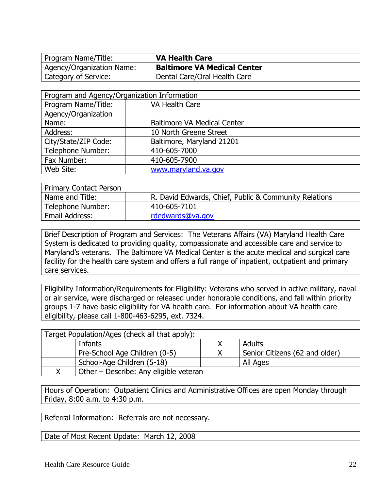Agency/Organization Name: **Baltimore VA Medical Center** Category of Service: Dental Care/Oral Health Care

| Program and Agency/Organization Information |                                    |  |
|---------------------------------------------|------------------------------------|--|
| Program Name/Title:                         | VA Health Care                     |  |
| Agency/Organization                         |                                    |  |
| Name:                                       | <b>Baltimore VA Medical Center</b> |  |
| Address:                                    | 10 North Greene Street             |  |
| City/State/ZIP Code:                        | Baltimore, Maryland 21201          |  |
| Telephone Number:                           | 410-605-7000                       |  |
| Fax Number:                                 | 410-605-7900                       |  |
| Web Site:                                   | www.maryland.va.gov                |  |

| <b>Primary Contact Person</b> |                                                       |
|-------------------------------|-------------------------------------------------------|
| Name and Title:               | R. David Edwards, Chief, Public & Community Relations |
| Telephone Number:             | 410-605-7101                                          |
| Email Address:                | rdedwards@va.gov                                      |

Brief Description of Program and Services: The Veterans Affairs (VA) Maryland Health Care System is dedicated to providing quality, compassionate and accessible care and service to Maryland's veterans. The Baltimore VA Medical Center is the acute medical and surgical care facility for the health care system and offers a full range of inpatient, outpatient and primary care services.

Eligibility Information/Requirements for Eligibility: Veterans who served in active military, naval or air service, were discharged or released under honorable conditions, and fall within priority groups 1-7 have basic eligibility for VA health care. For information about VA health care eligibility, please call 1-800-463-6295, ext. 7324.

| Target Population/Ages (check all that apply): |                                        |  |                                |
|------------------------------------------------|----------------------------------------|--|--------------------------------|
|                                                | Adults<br>Infants                      |  |                                |
|                                                | Pre-School Age Children (0-5)          |  | Senior Citizens (62 and older) |
|                                                | School-Age Children (5-18)             |  | All Ages                       |
|                                                | Other - Describe: Any eligible veteran |  |                                |

Hours of Operation: Outpatient Clinics and Administrative Offices are open Monday through Friday, 8:00 a.m. to 4:30 p.m.

Referral Information: Referrals are not necessary.

Date of Most Recent Update: March 12, 2008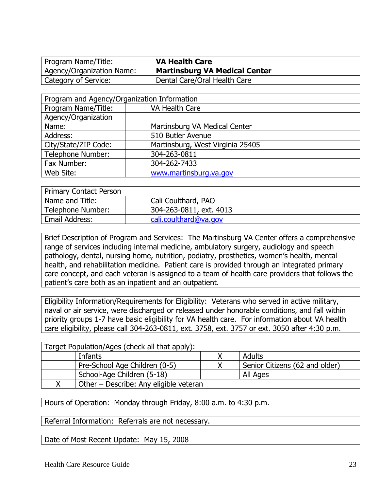**Program Name/Title: VA Health Care**<br> **Agency/Organization Name: Martinsburg VA** 

**Martinsburg VA Medical Center** Category of Service: Dental Care/Oral Health Care

| Program and Agency/Organization Information |                                  |  |
|---------------------------------------------|----------------------------------|--|
| Program Name/Title:                         | VA Health Care                   |  |
| Agency/Organization                         |                                  |  |
| Name:                                       | Martinsburg VA Medical Center    |  |
| Address:                                    | 510 Butler Avenue                |  |
| City/State/ZIP Code:                        | Martinsburg, West Virginia 25405 |  |
| Telephone Number:                           | 304-263-0811                     |  |
| Fax Number:                                 | 304-262-7433                     |  |
| Web Site:                                   | www.martinsburg.va.gov           |  |

| <b>Primary Contact Person</b> |                         |
|-------------------------------|-------------------------|
| Name and Title:               | Cali Coulthard, PAO     |
| Telephone Number:             | 304-263-0811, ext. 4013 |
| Email Address:                | cali.coulthard@va.gov   |

Brief Description of Program and Services: The Martinsburg VA Center offers a comprehensive range of services including internal medicine, ambulatory surgery, audiology and speech pathology, dental, nursing home, nutrition, podiatry, prosthetics, women's health, mental health, and rehabilitation medicine. Patient care is provided through an integrated primary care concept, and each veteran is assigned to a team of health care providers that follows the patient's care both as an inpatient and an outpatient.

Eligibility Information/Requirements for Eligibility: Veterans who served in active military, naval or air service, were discharged or released under honorable conditions, and fall within priority groups 1-7 have basic eligibility for VA health care. For information about VA health care eligibility, please call 304-263-0811, ext. 3758, ext. 3757 or ext. 3050 after 4:30 p.m.

| Target Population/Ages (check all that apply): |                                        |  |                                |
|------------------------------------------------|----------------------------------------|--|--------------------------------|
| Adults<br>Infants                              |                                        |  |                                |
|                                                | Pre-School Age Children (0-5)          |  | Senior Citizens (62 and older) |
|                                                | School-Age Children (5-18)             |  | All Ages                       |
|                                                | Other - Describe: Any eligible veteran |  |                                |

Hours of Operation: Monday through Friday, 8:00 a.m. to 4:30 p.m.

Referral Information: Referrals are not necessary.

Date of Most Recent Update: May 15, 2008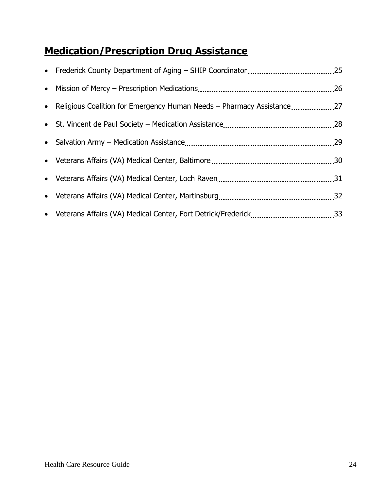#### **Medication/Prescription Drug Assistance**

| • Religious Coalition for Emergency Human Needs - Pharmacy Assistance27 |  |
|-------------------------------------------------------------------------|--|
|                                                                         |  |
|                                                                         |  |
|                                                                         |  |
|                                                                         |  |
|                                                                         |  |
|                                                                         |  |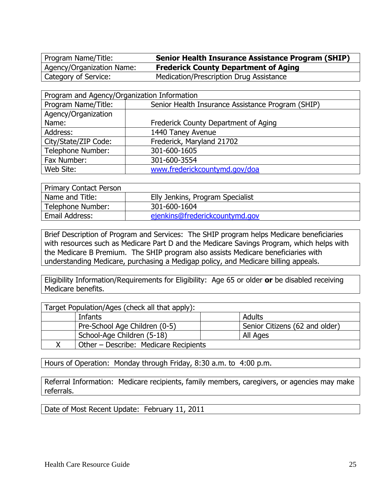Program Name/Title: **Senior Health Insurance Assistance Program (SHIP)** Agency/Organization Name: **Frederick County Department of Aging** Category of Service: Medication/Prescription Drug Assistance

| Program and Agency/Organization Information |                                                   |  |
|---------------------------------------------|---------------------------------------------------|--|
| Program Name/Title:                         | Senior Health Insurance Assistance Program (SHIP) |  |
| Agency/Organization                         |                                                   |  |
| Name:                                       | Frederick County Department of Aging              |  |
| Address:                                    | 1440 Taney Avenue                                 |  |
| City/State/ZIP Code:                        | Frederick, Maryland 21702                         |  |
| Telephone Number:                           | 301-600-1605                                      |  |
| Fax Number:                                 | 301-600-3554                                      |  |
| Web Site:                                   | www.frederickcountymd.gov/doa                     |  |

| <b>Primary Contact Person</b> |                                  |
|-------------------------------|----------------------------------|
| Name and Title:               | Elly Jenkins, Program Specialist |
| Telephone Number:             | 301-600-1604                     |
| Email Address:                | ejenkins@frederickcountymd.gov   |

Brief Description of Program and Services: The SHIP program helps Medicare beneficiaries with resources such as Medicare Part D and the Medicare Savings Program, which helps with the Medicare B Premium. The SHIP program also assists Medicare beneficiaries with understanding Medicare, purchasing a Medigap policy, and Medicare billing appeals.

Eligibility Information/Requirements for Eligibility: Age 65 or older **or** be disabled receiving Medicare benefits.

| Target Population/Ages (check all that apply): |                                |
|------------------------------------------------|--------------------------------|
| Infants                                        | <b>Adults</b>                  |
| Pre-School Age Children (0-5)                  | Senior Citizens (62 and older) |
| School-Age Children (5-18)                     | All Ages                       |
| Other – Describe: Medicare Recipients          |                                |

Hours of Operation: Monday through Friday, 8:30 a.m. to 4:00 p.m.

Referral Information: Medicare recipients, family members, caregivers, or agencies may make referrals.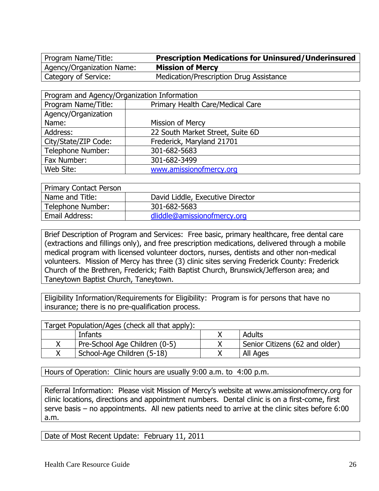Agency/Organization Name: **Mission of Mercy**

Program Name/Title: **Prescription Medications for Uninsured/Underinsured** Category of Service: Medication/Prescription Drug Assistance

| Program and Agency/Organization Information |                                  |  |
|---------------------------------------------|----------------------------------|--|
| Program Name/Title:                         | Primary Health Care/Medical Care |  |
| Agency/Organization                         |                                  |  |
| Name:                                       | Mission of Mercy                 |  |
| Address:                                    | 22 South Market Street, Suite 6D |  |
| City/State/ZIP Code:                        | Frederick, Maryland 21701        |  |
| Telephone Number:                           | 301-682-5683                     |  |
| Fax Number:                                 | 301-682-3499                     |  |
| Web Site:                                   | www.amissionofmercy.org          |  |

| <b>Primary Contact Person</b> |                                  |  |
|-------------------------------|----------------------------------|--|
| Name and Title:               | David Liddle, Executive Director |  |
| Telephone Number:             | 301-682-5683                     |  |
| Email Address:                | dliddle@amissionofmercy.org      |  |

Brief Description of Program and Services: Free basic, primary healthcare, free dental care (extractions and fillings only), and free prescription medications, delivered through a mobile medical program with licensed volunteer doctors, nurses, dentists and other non-medical volunteers. Mission of Mercy has three (3) clinic sites serving Frederick County: Frederick Church of the Brethren, Frederick; Faith Baptist Church, Brunswick/Jefferson area; and Taneytown Baptist Church, Taneytown.

Eligibility Information/Requirements for Eligibility: Program is for persons that have no insurance; there is no pre-qualification process.

| Target Population/Ages (check all that apply): |                                |
|------------------------------------------------|--------------------------------|
| Infants                                        | Adults                         |
| Pre-School Age Children (0-5)                  | Senior Citizens (62 and older) |
| School-Age Children (5-18)                     | All Ages                       |

Hours of Operation: Clinic hours are usually 9:00 a.m. to 4:00 p.m.

Referral Information: Please visit Mission of Mercy's website at [www.amissionofmercy.org](http://www.amissionofmercy.org/) for clinic locations, directions and appointment numbers. Dental clinic is on a first-come, first serve basis – no appointments. All new patients need to arrive at the clinic sites before 6:00 a.m.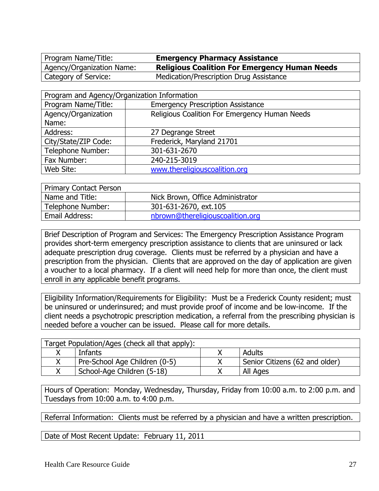Program Name/Title: **Emergency Pharmacy Assistance** Agency/Organization Name: **Religious Coalition For Emergency Human Needs** Category of Service: Medication/Prescription Drug Assistance

| Program and Agency/Organization Information |                                               |  |
|---------------------------------------------|-----------------------------------------------|--|
| Program Name/Title:                         | <b>Emergency Prescription Assistance</b>      |  |
| Agency/Organization                         | Religious Coalition For Emergency Human Needs |  |
| Name:                                       |                                               |  |
| Address:                                    | 27 Degrange Street                            |  |
| City/State/ZIP Code:                        | Frederick, Maryland 21701                     |  |
| Telephone Number:                           | 301-631-2670                                  |  |
| Fax Number:                                 | 240-215-3019                                  |  |
| Web Site:                                   | www.thereligiouscoalition.org                 |  |

| <b>Primary Contact Person</b> |                                  |  |
|-------------------------------|----------------------------------|--|
| Name and Title:               | Nick Brown, Office Administrator |  |
| Telephone Number:             | 301-631-2670, ext.105            |  |
| Email Address:                | nbrown@thereligiouscoalition.org |  |

Brief Description of Program and Services: The Emergency Prescription Assistance Program provides short-term emergency prescription assistance to clients that are uninsured or lack adequate prescription drug coverage. Clients must be referred by a physician and have a prescription from the physician. Clients that are approved on the day of application are given a voucher to a local pharmacy. If a client will need help for more than once, the client must enroll in any applicable benefit programs.

Eligibility Information/Requirements for Eligibility: Must be a Frederick County resident; must be uninsured or underinsured; and must provide proof of income and be low-income. If the client needs a psychotropic prescription medication, a referral from the prescribing physician is needed before a voucher can be issued. Please call for more details.

| Target Population/Ages (check all that apply): |                                |
|------------------------------------------------|--------------------------------|
| Infants                                        | Adults                         |
| Pre-School Age Children (0-5)                  | Senior Citizens (62 and older) |
| School-Age Children (5-18)                     | All Ages                       |

Hours of Operation: Monday, Wednesday, Thursday, Friday from 10:00 a.m. to 2:00 p.m. and Tuesdays from 10:00 a.m. to 4:00 p.m.

Referral Information: Clients must be referred by a physician and have a written prescription.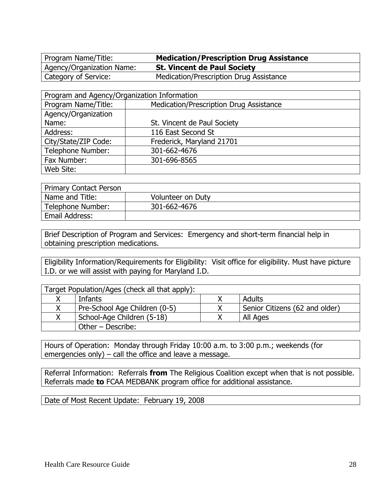Program Name/Title: **Medication/Prescription Drug Assistance** Agency/Organization Name: **St. Vincent de Paul Society** Category of Service: Medication/Prescription Drug Assistance

| Program and Agency/Organization Information |                                         |  |
|---------------------------------------------|-----------------------------------------|--|
| Program Name/Title:                         | Medication/Prescription Drug Assistance |  |
| Agency/Organization                         |                                         |  |
| Name:                                       | St. Vincent de Paul Society             |  |
| Address:                                    | 116 East Second St                      |  |
| City/State/ZIP Code:                        | Frederick, Maryland 21701               |  |
| Telephone Number:                           | 301-662-4676                            |  |
| Fax Number:                                 | 301-696-8565                            |  |
| Web Site:                                   |                                         |  |

| <b>Primary Contact Person</b> |                   |  |
|-------------------------------|-------------------|--|
| Name and Title:               | Volunteer on Duty |  |
| Telephone Number:             | 301-662-4676      |  |
| Email Address:                |                   |  |

Brief Description of Program and Services: Emergency and short-term financial help in obtaining prescription medications.

Eligibility Information/Requirements for Eligibility: Visit office for eligibility. Must have picture I.D. or we will assist with paying for Maryland I.D.

| Target Population/Ages (check all that apply): |                                |
|------------------------------------------------|--------------------------------|
| Infants                                        | Adults                         |
| Pre-School Age Children (0-5)                  | Senior Citizens (62 and older) |
| School-Age Children (5-18)                     | All Ages                       |
| Other - Describe:                              |                                |

Hours of Operation: Monday through Friday 10:00 a.m. to 3:00 p.m.; weekends (for emergencies only) – call the office and leave a message.

Referral Information: Referrals **from** The Religious Coalition except when that is not possible. Referrals made **to** FCAA MEDBANK program office for additional assistance.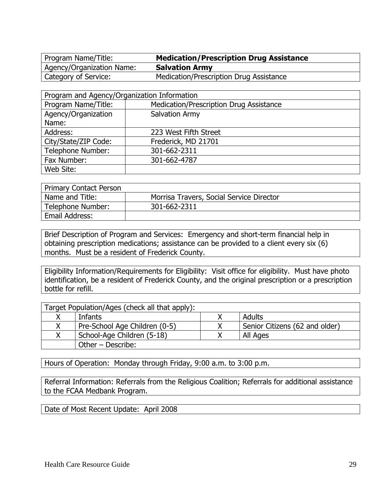Agency/Organization Name: **Salvation Army**

Program Name/Title: **Medication/Prescription Drug Assistance** Category of Service: Medication/Prescription Drug Assistance

| Program and Agency/Organization Information |                                         |  |
|---------------------------------------------|-----------------------------------------|--|
| Program Name/Title:                         | Medication/Prescription Drug Assistance |  |
| Agency/Organization                         | Salvation Army                          |  |
| Name:                                       |                                         |  |
| Address:                                    | 223 West Fifth Street                   |  |
| City/State/ZIP Code:                        | Frederick, MD 21701                     |  |
| Telephone Number:                           | 301-662-2311                            |  |
| Fax Number:                                 | 301-662-4787                            |  |
| Web Site:                                   |                                         |  |

| <b>Primary Contact Person</b> |                                          |  |
|-------------------------------|------------------------------------------|--|
| Name and Title:               | Morrisa Travers, Social Service Director |  |
| Telephone Number:             | 301-662-2311                             |  |
| Email Address:                |                                          |  |

Brief Description of Program and Services: Emergency and short-term financial help in obtaining prescription medications; assistance can be provided to a client every six (6) months. Must be a resident of Frederick County.

Eligibility Information/Requirements for Eligibility: Visit office for eligibility. Must have photo identification, be a resident of Frederick County, and the original prescription or a prescription bottle for refill.

| Target Population/Ages (check all that apply): |  |                                |  |
|------------------------------------------------|--|--------------------------------|--|
| Adults<br>Infants                              |  |                                |  |
| Pre-School Age Children (0-5)                  |  | Senior Citizens (62 and older) |  |
| School-Age Children (5-18)<br>All Ages         |  |                                |  |
| Other - Describe:                              |  |                                |  |

Hours of Operation: Monday through Friday, 9:00 a.m. to 3:00 p.m.

Referral Information: Referrals from the Religious Coalition; Referrals for additional assistance to the FCAA Medbank Program.

Date of Most Recent Update: April 2008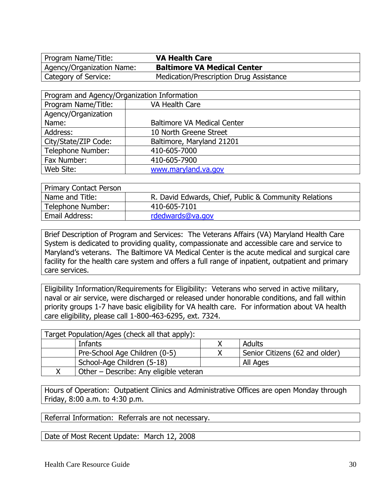Agency/Organization Name: **Baltimore VA Medical Center** Category of Service: Medication/Prescription Drug Assistance

| Program and Agency/Organization Information |                                    |  |
|---------------------------------------------|------------------------------------|--|
| Program Name/Title:                         | VA Health Care                     |  |
| Agency/Organization                         |                                    |  |
| Name:                                       | <b>Baltimore VA Medical Center</b> |  |
| Address:                                    | 10 North Greene Street             |  |
| City/State/ZIP Code:                        | Baltimore, Maryland 21201          |  |
| Telephone Number:                           | 410-605-7000                       |  |
| Fax Number:                                 | 410-605-7900                       |  |
| Web Site:                                   | www.maryland.va.gov                |  |

| <b>Primary Contact Person</b> |                                                       |  |
|-------------------------------|-------------------------------------------------------|--|
| Name and Title:               | R. David Edwards, Chief, Public & Community Relations |  |
| Telephone Number:             | 410-605-7101                                          |  |
| Email Address:                | rdedwards@va.gov                                      |  |

Brief Description of Program and Services: The Veterans Affairs (VA) Maryland Health Care System is dedicated to providing quality, compassionate and accessible care and service to Maryland's veterans. The Baltimore VA Medical Center is the acute medical and surgical care facility for the health care system and offers a full range of inpatient, outpatient and primary care services.

Eligibility Information/Requirements for Eligibility: Veterans who served in active military, naval or air service, were discharged or released under honorable conditions, and fall within priority groups 1-7 have basic eligibility for VA health care. For information about VA health care eligibility, please call 1-800-463-6295, ext. 7324.

| Target Population/Ages (check all that apply): |  |                                |  |
|------------------------------------------------|--|--------------------------------|--|
| Adults<br>Infants                              |  |                                |  |
| Pre-School Age Children (0-5)                  |  | Senior Citizens (62 and older) |  |
| School-Age Children (5-18)<br>All Ages         |  |                                |  |
| Other – Describe: Any eligible veteran         |  |                                |  |

Hours of Operation: Outpatient Clinics and Administrative Offices are open Monday through Friday, 8:00 a.m. to 4:30 p.m.

Referral Information: Referrals are not necessary.

Date of Most Recent Update: March 12, 2008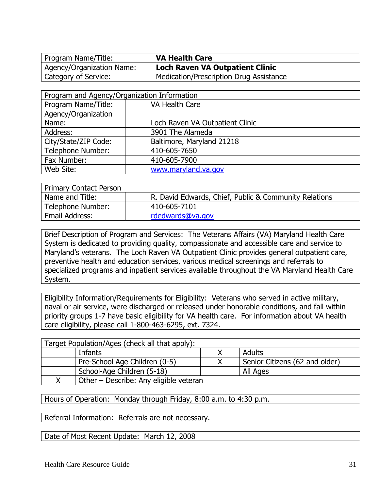Agency/Organization Name: **Loch Raven VA Outpatient Clinic** Category of Service: Medication/Prescription Drug Assistance

| Program and Agency/Organization Information |                                 |  |
|---------------------------------------------|---------------------------------|--|
| Program Name/Title:                         | VA Health Care                  |  |
| Agency/Organization                         |                                 |  |
| Name:                                       | Loch Raven VA Outpatient Clinic |  |
| Address:                                    | 3901 The Alameda                |  |
| City/State/ZIP Code:                        | Baltimore, Maryland 21218       |  |
| Telephone Number:                           | 410-605-7650                    |  |
| Fax Number:                                 | 410-605-7900                    |  |
| Web Site:                                   | www.maryland.va.gov             |  |

| Primary Contact Person |                                                       |
|------------------------|-------------------------------------------------------|
| Name and Title:        | R. David Edwards, Chief, Public & Community Relations |
| Telephone Number:      | 410-605-7101                                          |
| Email Address:         | rdedwards@va.gov                                      |

Brief Description of Program and Services: The Veterans Affairs (VA) Maryland Health Care System is dedicated to providing quality, compassionate and accessible care and service to Maryland's veterans. The Loch Raven VA Outpatient Clinic provides general outpatient care, preventive health and education services, various medical screenings and referrals to specialized programs and inpatient services available throughout the VA Maryland Health Care System.

Eligibility Information/Requirements for Eligibility: Veterans who served in active military, naval or air service, were discharged or released under honorable conditions, and fall within priority groups 1-7 have basic eligibility for VA health care. For information about VA health care eligibility, please call 1-800-463-6295, ext. 7324.

|                               | Target Population/Ages (check all that apply): |                                |  |
|-------------------------------|------------------------------------------------|--------------------------------|--|
|                               | Adults<br>Infants                              |                                |  |
| Pre-School Age Children (0-5) |                                                | Senior Citizens (62 and older) |  |
|                               | School-Age Children (5-18)<br>All Ages         |                                |  |
|                               | Other - Describe: Any eligible veteran         |                                |  |

Hours of Operation: Monday through Friday, 8:00 a.m. to 4:30 p.m.

Referral Information: Referrals are not necessary.

Date of Most Recent Update: March 12, 2008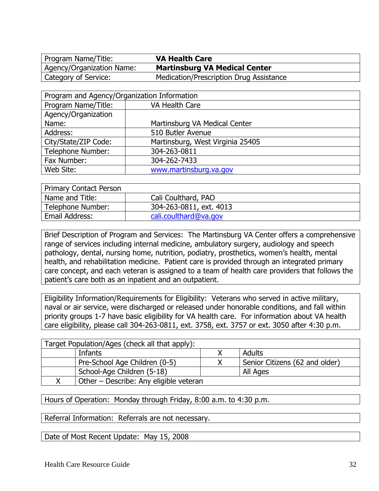Agency/Organization Name: **Martinsburg VA Medical Center** Category of Service: Medication/Prescription Drug Assistance

| Program and Agency/Organization Information |                                  |  |
|---------------------------------------------|----------------------------------|--|
| Program Name/Title:                         | VA Health Care                   |  |
| Agency/Organization                         |                                  |  |
| Name:                                       | Martinsburg VA Medical Center    |  |
| Address:                                    | 510 Butler Avenue                |  |
| City/State/ZIP Code:                        | Martinsburg, West Virginia 25405 |  |
| Telephone Number:                           | 304-263-0811                     |  |
| Fax Number:                                 | 304-262-7433                     |  |
| Web Site:                                   | www.martinsburg.va.gov           |  |

| <b>Primary Contact Person</b> |                         |  |
|-------------------------------|-------------------------|--|
| Name and Title:               | Cali Coulthard, PAO     |  |
| Telephone Number:             | 304-263-0811, ext. 4013 |  |
| Email Address:                | cali.coulthard@va.gov   |  |

Brief Description of Program and Services: The Martinsburg VA Center offers a comprehensive range of services including internal medicine, ambulatory surgery, audiology and speech pathology, dental, nursing home, nutrition, podiatry, prosthetics, women's health, mental health, and rehabilitation medicine. Patient care is provided through an integrated primary care concept, and each veteran is assigned to a team of health care providers that follows the patient's care both as an inpatient and an outpatient.

Eligibility Information/Requirements for Eligibility: Veterans who served in active military, naval or air service, were discharged or released under honorable conditions, and fall within priority groups 1-7 have basic eligibility for VA health care. For information about VA health care eligibility, please call 304-263-0811, ext. 3758, ext. 3757 or ext. 3050 after 4:30 p.m.

| Target Population/Ages (check all that apply): |  |                                |
|------------------------------------------------|--|--------------------------------|
| Adults<br>Infants                              |  |                                |
| Pre-School Age Children (0-5)                  |  | Senior Citizens (62 and older) |
| School-Age Children (5-18)<br>All Ages         |  |                                |
| Other - Describe: Any eligible veteran         |  |                                |

Hours of Operation: Monday through Friday, 8:00 a.m. to 4:30 p.m.

Referral Information: Referrals are not necessary.

Date of Most Recent Update: May 15, 2008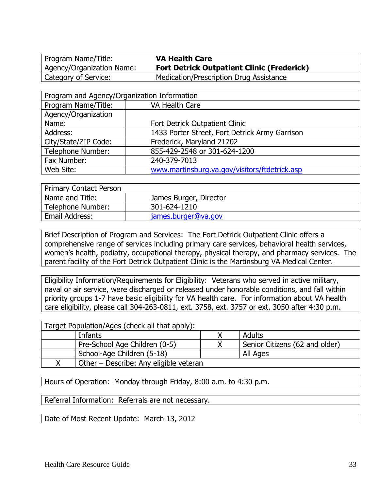Agency/Organization Name: **Fort Detrick Outpatient Clinic (Frederick)** Category of Service: Medication/Prescription Drug Assistance

| Program and Agency/Organization Information |                                                |  |
|---------------------------------------------|------------------------------------------------|--|
| Program Name/Title:                         | VA Health Care                                 |  |
| Agency/Organization                         |                                                |  |
| Name:                                       | Fort Detrick Outpatient Clinic                 |  |
| Address:                                    | 1433 Porter Street, Fort Detrick Army Garrison |  |
| City/State/ZIP Code:                        | Frederick, Maryland 21702                      |  |
| <b>Telephone Number:</b>                    | 855-429-2548 or 301-624-1200                   |  |
| Fax Number:                                 | 240-379-7013                                   |  |
| Web Site:                                   | www.martinsburg.va.gov/visitors/ftdetrick.asp  |  |

| <b>Primary Contact Person</b> |                        |  |
|-------------------------------|------------------------|--|
| Name and Title:               | James Burger, Director |  |
| Telephone Number:             | 301-624-1210           |  |
| Email Address:                | james.burger@va.gov    |  |

Brief Description of Program and Services: The Fort Detrick Outpatient Clinic offers a comprehensive range of services including primary care services, behavioral health services, women's health, podiatry, occupational therapy, physical therapy, and pharmacy services. The parent facility of the Fort Detrick Outpatient Clinic is the Martinsburg VA Medical Center.

Eligibility Information/Requirements for Eligibility: Veterans who served in active military, naval or air service, were discharged or released under honorable conditions, and fall within priority groups 1-7 have basic eligibility for VA health care. For information about VA health care eligibility, please call 304-263-0811, ext. 3758, ext. 3757 or ext. 3050 after 4:30 p.m.

| Target Population/Ages (check all that apply): |                                        |  |                                |  |
|------------------------------------------------|----------------------------------------|--|--------------------------------|--|
|                                                | Adults<br>Infants                      |  |                                |  |
|                                                | Pre-School Age Children (0-5)          |  | Senior Citizens (62 and older) |  |
| School-Age Children (5-18)                     |                                        |  | All Ages                       |  |
|                                                | Other – Describe: Any eligible veteran |  |                                |  |

Hours of Operation: Monday through Friday, 8:00 a.m. to 4:30 p.m.

Referral Information: Referrals are not necessary.

Date of Most Recent Update: March 13, 2012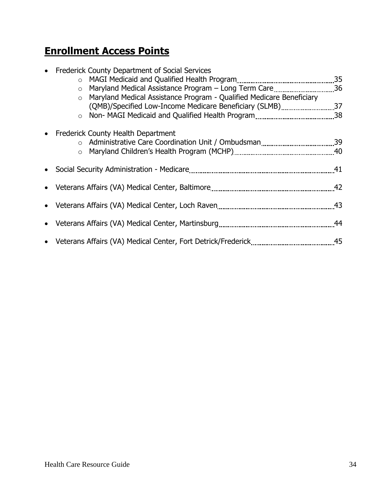#### **Enrollment Access Points**

| • Frederick County Department of Social Services                       |  |
|------------------------------------------------------------------------|--|
| $\circ$                                                                |  |
| ○ Maryland Medical Assistance Program – Long Term Care36               |  |
| o Maryland Medical Assistance Program - Qualified Medicare Beneficiary |  |
| (QMB)/Specified Low-Income Medicare Beneficiary (SLMB)37               |  |
|                                                                        |  |
| • Frederick County Health Department                                   |  |
|                                                                        |  |
|                                                                        |  |
|                                                                        |  |
|                                                                        |  |
|                                                                        |  |
|                                                                        |  |
|                                                                        |  |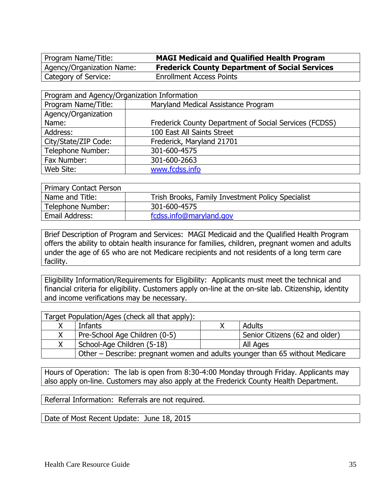Program Name/Title: **MAGI Medicaid and Qualified Health Program** Agency/Organization Name: **Frederick County Department of Social Services** Category of Service: Enrollment Access Points

| Program and Agency/Organization Information |                                                        |  |  |
|---------------------------------------------|--------------------------------------------------------|--|--|
| Program Name/Title:                         | Maryland Medical Assistance Program                    |  |  |
| Agency/Organization                         |                                                        |  |  |
| Name:                                       | Frederick County Department of Social Services (FCDSS) |  |  |
| 100 East All Saints Street<br>Address:      |                                                        |  |  |
| City/State/ZIP Code:                        | Frederick, Maryland 21701                              |  |  |
| Telephone Number:                           | 301-600-4575                                           |  |  |
| Fax Number:<br>301-600-2663                 |                                                        |  |  |
| Web Site:                                   | www.fcdss.info                                         |  |  |

| <b>Primary Contact Person</b> |                                                   |
|-------------------------------|---------------------------------------------------|
| Name and Title:               | Trish Brooks, Family Investment Policy Specialist |
| Telephone Number:             | 301-600-4575                                      |
| Email Address:                | fcdss.info@maryland.gov                           |

Brief Description of Program and Services: MAGI Medicaid and the Qualified Health Program offers the ability to obtain health insurance for families, children, pregnant women and adults under the age of 65 who are not Medicare recipients and not residents of a long term care facility.

Eligibility Information/Requirements for Eligibility: Applicants must meet the technical and financial criteria for eligibility. Customers apply on-line at the on-site lab. Citizenship, identity and income verifications may be necessary.

| Target Population/Ages (check all that apply): |                                                                              |  |                                |
|------------------------------------------------|------------------------------------------------------------------------------|--|--------------------------------|
|                                                | Infants                                                                      |  | Adults                         |
| X                                              | Pre-School Age Children (0-5)                                                |  | Senior Citizens (62 and older) |
|                                                | School-Age Children (5-18)                                                   |  | All Ages                       |
|                                                | Other – Describe: pregnant women and adults younger than 65 without Medicare |  |                                |

Hours of Operation: The lab is open from 8:30-4:00 Monday through Friday. Applicants may also apply on-line. Customers may also apply at the Frederick County Health Department.

Referral Information: Referrals are not required.

Date of Most Recent Update: June 18, 2015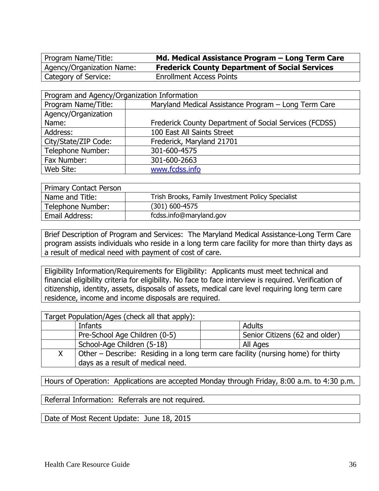Category of Service: Enrollment Access Points

Program Name/Title: **Md. Medical Assistance Program – Long Term Care** Agency/Organization Name: **Frederick County Department of Social Services**

| Program and Agency/Organization Information                                 |                                                        |  |  |
|-----------------------------------------------------------------------------|--------------------------------------------------------|--|--|
| Program Name/Title:<br>Maryland Medical Assistance Program - Long Term Care |                                                        |  |  |
| Agency/Organization                                                         |                                                        |  |  |
| Name:                                                                       | Frederick County Department of Social Services (FCDSS) |  |  |
| Address:                                                                    | 100 East All Saints Street                             |  |  |
| City/State/ZIP Code:                                                        | Frederick, Maryland 21701                              |  |  |
| Telephone Number:                                                           | 301-600-4575                                           |  |  |
| Fax Number:                                                                 | 301-600-2663                                           |  |  |
| Web Site:                                                                   | www.fcdss.info                                         |  |  |

| <b>Primary Contact Person</b> |                                                   |  |
|-------------------------------|---------------------------------------------------|--|
| Name and Title:               | Trish Brooks, Family Investment Policy Specialist |  |
| Telephone Number:             | $(301)$ 600-4575                                  |  |
| Email Address:                | fcdss.info@maryland.gov                           |  |

Brief Description of Program and Services: The Maryland Medical Assistance-Long Term Care program assists individuals who reside in a long term care facility for more than thirty days as a result of medical need with payment of cost of care.

Eligibility Information/Requirements for Eligibility: Applicants must meet technical and financial eligibility criteria for eligibility. No face to face interview is required. Verification of citizenship, identity, assets, disposals of assets, medical care level requiring long term care residence, income and income disposals are required.

| Target Population/Ages (check all that apply): |                                                                                   |               |  |  |
|------------------------------------------------|-----------------------------------------------------------------------------------|---------------|--|--|
|                                                | Infants                                                                           | <b>Adults</b> |  |  |
|                                                | Pre-School Age Children (0-5)<br>Senior Citizens (62 and older)                   |               |  |  |
|                                                | School-Age Children (5-18)                                                        | All Ages      |  |  |
| X                                              | Other – Describe: Residing in a long term care facility (nursing home) for thirty |               |  |  |
|                                                | days as a result of medical need.                                                 |               |  |  |

Hours of Operation: Applications are accepted Monday through Friday, 8:00 a.m. to 4:30 p.m.

Referral Information: Referrals are not required.

Date of Most Recent Update: June 18, 2015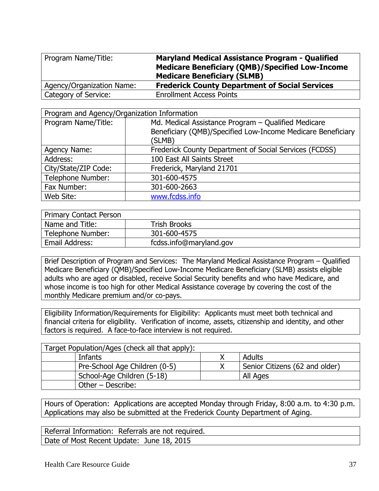| Program Name/Title:       | <b>Maryland Medical Assistance Program - Qualified</b><br><b>Medicare Beneficiary (QMB)/Specified Low-Income</b><br><b>Medicare Beneficiary (SLMB)</b> |
|---------------------------|--------------------------------------------------------------------------------------------------------------------------------------------------------|
| Agency/Organization Name: | <b>Frederick County Department of Social Services</b>                                                                                                  |
| Category of Service:      | <b>Enrollment Access Points</b>                                                                                                                        |

| Program and Agency/Organization Information |                                                                                                                    |  |
|---------------------------------------------|--------------------------------------------------------------------------------------------------------------------|--|
| Program Name/Title:                         | Md. Medical Assistance Program - Qualified Medicare<br>Beneficiary (QMB)/Specified Low-Income Medicare Beneficiary |  |
| (SLMB)                                      |                                                                                                                    |  |
| Agency Name:                                | Frederick County Department of Social Services (FCDSS)                                                             |  |
| 100 East All Saints Street<br>Address:      |                                                                                                                    |  |
| City/State/ZIP Code:                        | Frederick, Maryland 21701                                                                                          |  |
| Telephone Number:                           | 301-600-4575                                                                                                       |  |
| Fax Number:                                 | 301-600-2663                                                                                                       |  |
| Web Site:                                   | www.fcdss.info                                                                                                     |  |

| <b>Primary Contact Person</b>             |                     |
|-------------------------------------------|---------------------|
| Name and Title:                           | <b>Trish Brooks</b> |
| Telephone Number:                         | 301-600-4575        |
| Email Address:<br>fcdss.info@maryland.gov |                     |

Brief Description of Program and Services: The Maryland Medical Assistance Program – Qualified Medicare Beneficiary (QMB)/Specified Low-Income Medicare Beneficiary (SLMB) assists eligible adults who are aged or disabled, receive Social Security benefits and who have Medicare, and whose income is too high for other Medical Assistance coverage by covering the cost of the monthly Medicare premium and/or co-pays.

Eligibility Information/Requirements for Eligibility: Applicants must meet both technical and financial criteria for eligibility. Verification of income, assets, citizenship and identity, and other factors is required. A face-to-face interview is not required.

| Target Population/Ages (check all that apply): |                               |  |                                |  |
|------------------------------------------------|-------------------------------|--|--------------------------------|--|
|                                                | Adults<br>Infants             |  |                                |  |
|                                                | Pre-School Age Children (0-5) |  | Senior Citizens (62 and older) |  |
| School-Age Children (5-18)<br>All Ages         |                               |  |                                |  |
| Other - Describe:                              |                               |  |                                |  |

Hours of Operation: Applications are accepted Monday through Friday, 8:00 a.m. to 4:30 p.m. Applications may also be submitted at the Frederick County Department of Aging.

Referral Information: Referrals are not required. Date of Most Recent Update: June 18, 2015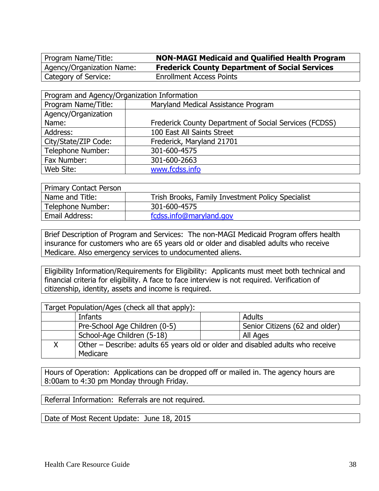Program Name/Title: **NON-MAGI Medicaid and Qualified Health Program** Agency/Organization Name: **Frederick County Department of Social Services** Category of Service: Enrollment Access Points

| Program and Agency/Organization Information |                                                        |  |  |
|---------------------------------------------|--------------------------------------------------------|--|--|
| Program Name/Title:                         | Maryland Medical Assistance Program                    |  |  |
| Agency/Organization                         |                                                        |  |  |
| Name:                                       | Frederick County Department of Social Services (FCDSS) |  |  |
| Address:                                    | 100 East All Saints Street                             |  |  |
| City/State/ZIP Code:                        | Frederick, Maryland 21701                              |  |  |
| Telephone Number:                           | 301-600-4575                                           |  |  |
| Fax Number:                                 | 301-600-2663                                           |  |  |
| Web Site:                                   | www.fcdss.info                                         |  |  |

| <b>Primary Contact Person</b> |                                                   |
|-------------------------------|---------------------------------------------------|
| Name and Title:               | Trish Brooks, Family Investment Policy Specialist |
| Telephone Number:             | 301-600-4575                                      |
| Email Address:                | fcdss.info@maryland.gov                           |

Brief Description of Program and Services: The non-MAGI Medicaid Program offers health insurance for customers who are 65 years old or older and disabled adults who receive Medicare. Also emergency services to undocumented aliens.

Eligibility Information/Requirements for Eligibility: Applicants must meet both technical and financial criteria for eligibility. A face to face interview is not required. Verification of citizenship, identity, assets and income is required.

| Target Population/Ages (check all that apply): |                                                                                |                                |  |
|------------------------------------------------|--------------------------------------------------------------------------------|--------------------------------|--|
|                                                | Adults<br>Infants                                                              |                                |  |
|                                                | Pre-School Age Children (0-5)                                                  | Senior Citizens (62 and older) |  |
|                                                | School-Age Children (5-18)                                                     | All Ages                       |  |
|                                                | Other – Describe: adults 65 years old or older and disabled adults who receive |                                |  |
|                                                | Medicare                                                                       |                                |  |

Hours of Operation: Applications can be dropped off or mailed in. The agency hours are 8:00am to 4:30 pm Monday through Friday.

Referral Information: Referrals are not required.

Date of Most Recent Update: June 18, 2015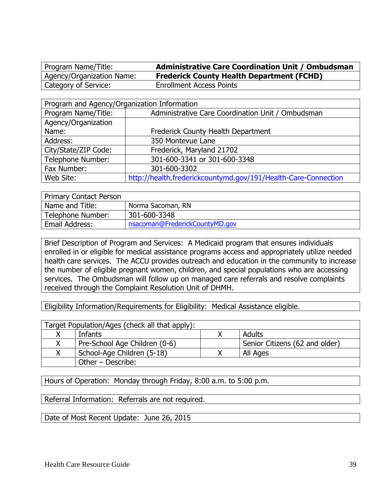Program Name/Title: **Administrative Care Coordination Unit / Ombudsman** Agency/Organization Name: **Frederick County Health Department (FCHD)** Category of Service: Enrollment Access Points

| Program and Agency/Organization Information |                                                                |  |
|---------------------------------------------|----------------------------------------------------------------|--|
| Program Name/Title:                         | Administrative Care Coordination Unit / Ombudsman              |  |
| Agency/Organization                         |                                                                |  |
| Name:                                       | Frederick County Health Department                             |  |
| Address:                                    | 350 Montevue Lane                                              |  |
| City/State/ZIP Code:                        | Frederick, Maryland 21702                                      |  |
| Telephone Number:                           | 301-600-3341 or 301-600-3348                                   |  |
| Fax Number:                                 | 301-600-3302                                                   |  |
| Web Site:                                   | http://health.frederickcountymd.gov/191/Health-Care-Connection |  |

| <b>Primary Contact Person</b>     |                                |
|-----------------------------------|--------------------------------|
| Name and Title:                   | Norma Sacoman, RN              |
| 301-600-3348<br>Telephone Number: |                                |
| Email Address:                    | nsacoman@FrederickCountyMD.gov |

Brief Description of Program and Services: A Medicaid program that ensures individuals enrolled in or eligible for medical assistance programs access and appropriately utilize needed health care services. The ACCU provides outreach and education in the community to increase the number of eligible pregnant women, children, and special populations who are accessing services. The Ombudsman will follow up on managed care referrals and resolve complaints received through the Complaint Resolution Unit of DHMH.

Eligibility Information/Requirements for Eligibility: Medical Assistance eligible.

| Target Population/Ages (check all that apply): |                                                                 |  |          |
|------------------------------------------------|-----------------------------------------------------------------|--|----------|
|                                                | Adults<br>Infants                                               |  |          |
|                                                | Pre-School Age Children (0-6)<br>Senior Citizens (62 and older) |  |          |
|                                                | School-Age Children (5-18)                                      |  | All Ages |
| Other – Describe:                              |                                                                 |  |          |

Hours of Operation: Monday through Friday, 8:00 a.m. to 5:00 p.m.

Referral Information: Referrals are not required.

Date of Most Recent Update: June 26, 2015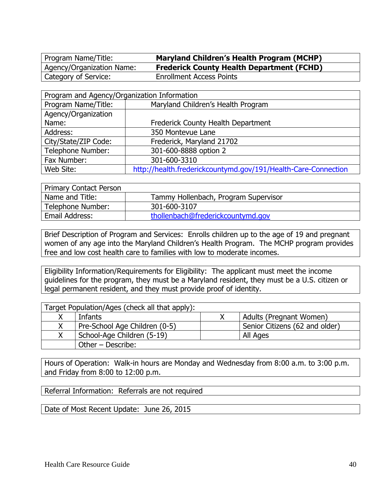Program Name/Title: **Maryland Children's Health Program (MCHP)** Agency/Organization Name: **Frederick County Health Department (FCHD)** Category of Service: Enrollment Access Points

| Program and Agency/Organization Information |                                                                |  |  |
|---------------------------------------------|----------------------------------------------------------------|--|--|
| Program Name/Title:                         | Maryland Children's Health Program                             |  |  |
| Agency/Organization                         |                                                                |  |  |
| Name:                                       | Frederick County Health Department                             |  |  |
| Address:                                    | 350 Montevue Lane                                              |  |  |
| City/State/ZIP Code:                        | Frederick, Maryland 21702                                      |  |  |
| Telephone Number:                           | 301-600-8888 option 2                                          |  |  |
| Fax Number:                                 | 301-600-3310                                                   |  |  |
| Web Site:                                   | http://health.frederickcountymd.gov/191/Health-Care-Connection |  |  |

| <b>Primary Contact Person</b> |                                      |
|-------------------------------|--------------------------------------|
| Name and Title:               | Tammy Hollenbach, Program Supervisor |
| Telephone Number:             | 301-600-3107                         |
| Email Address:                | thollenbach@frederickcountymd.gov    |

Brief Description of Program and Services: Enrolls children up to the age of 19 and pregnant women of any age into the Maryland Children's Health Program. The MCHP program provides free and low cost health care to families with low to moderate incomes.

Eligibility Information/Requirements for Eligibility: The applicant must meet the income guidelines for the program, they must be a Maryland resident, they must be a U.S. citizen or legal permanent resident, and they must provide proof of identity.

| Target Population/Ages (check all that apply): |                                        |  |                                |
|------------------------------------------------|----------------------------------------|--|--------------------------------|
|                                                | Infants<br>Adults (Pregnant Women)     |  |                                |
| Χ                                              | Pre-School Age Children (0-5)          |  | Senior Citizens (62 and older) |
| Χ                                              | School-Age Children (5-19)<br>All Ages |  |                                |
|                                                | Other - Describe:                      |  |                                |

Hours of Operation: Walk-in hours are Monday and Wednesday from 8:00 a.m. to 3:00 p.m. and Friday from 8:00 to 12:00 p.m.

Referral Information: Referrals are not required

Date of Most Recent Update: June 26, 2015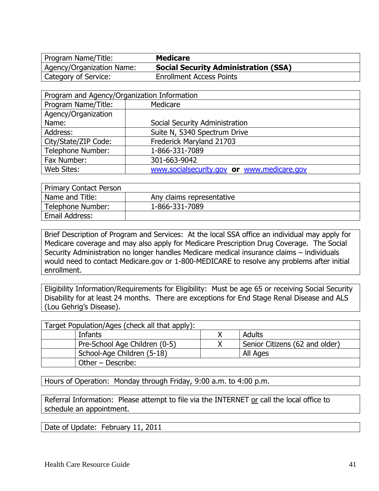Program Name/Title: **Medicare** Agency/Organization Name: **Social Security Administration (SSA)** Category of Service: Enrollment Access Points

| Program and Agency/Organization Information |                                            |  |  |
|---------------------------------------------|--------------------------------------------|--|--|
| Program Name/Title:                         | Medicare                                   |  |  |
| Agency/Organization                         |                                            |  |  |
| Name:                                       | Social Security Administration             |  |  |
| Address:                                    | Suite N, 5340 Spectrum Drive               |  |  |
| City/State/ZIP Code:                        | Frederick Maryland 21703                   |  |  |
| <b>Telephone Number:</b>                    | 1-866-331-7089                             |  |  |
| Fax Number:                                 | 301-663-9042                               |  |  |
| Web Sites:                                  | www.socialsecurity.gov or www.medicare.gov |  |  |

| <b>Primary Contact Person</b> |                           |
|-------------------------------|---------------------------|
| Name and Title:               | Any claims representative |
| Telephone Number:             | 1-866-331-7089            |
| Email Address:                |                           |

Brief Description of Program and Services: At the local SSA office an individual may apply for Medicare coverage and may also apply for Medicare Prescription Drug Coverage. The Social Security Administration no longer handles Medicare medical insurance claims – individuals would need to contact Medicare.gov or 1-800-MEDICARE to resolve any problems after initial enrollment.

Eligibility Information/Requirements for Eligibility: Must be age 65 or receiving Social Security Disability for at least 24 months. There are exceptions for End Stage Renal Disease and ALS (Lou Gehrig's Disease).

| Target Population/Ages (check all that apply): |        |                                |  |
|------------------------------------------------|--------|--------------------------------|--|
| Infants                                        | Adults |                                |  |
| Pre-School Age Children (0-5)                  |        | Senior Citizens (62 and older) |  |
| School-Age Children (5-18)<br>All Ages         |        |                                |  |
| Other - Describe:                              |        |                                |  |

Hours of Operation: Monday through Friday, 9:00 a.m. to 4:00 p.m.

Referral Information: Please attempt to file via the INTERNET or call the local office to schedule an appointment.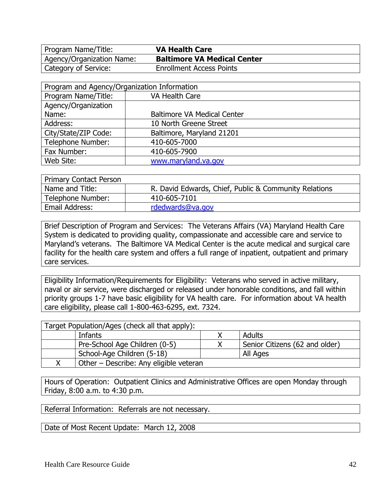Agency/Organization Name: **Baltimore VA Medical Center** Category of Service: Enrollment Access Points

| Program and Agency/Organization Information |                                    |  |
|---------------------------------------------|------------------------------------|--|
| Program Name/Title:                         | VA Health Care                     |  |
| Agency/Organization                         |                                    |  |
| Name:                                       | <b>Baltimore VA Medical Center</b> |  |
| Address:                                    | 10 North Greene Street             |  |
| City/State/ZIP Code:                        | Baltimore, Maryland 21201          |  |
| Telephone Number:                           | 410-605-7000                       |  |
| Fax Number:                                 | 410-605-7900                       |  |
| Web Site:                                   | www.maryland.va.gov                |  |

| Primary Contact Person |                                                       |
|------------------------|-------------------------------------------------------|
| Name and Title:        | R. David Edwards, Chief, Public & Community Relations |
| Telephone Number:      | 410-605-7101                                          |
| Email Address:         | rdedwards@va.gov                                      |

Brief Description of Program and Services: The Veterans Affairs (VA) Maryland Health Care System is dedicated to providing quality, compassionate and accessible care and service to Maryland's veterans. The Baltimore VA Medical Center is the acute medical and surgical care facility for the health care system and offers a full range of inpatient, outpatient and primary care services.

Eligibility Information/Requirements for Eligibility: Veterans who served in active military, naval or air service, were discharged or released under honorable conditions, and fall within priority groups 1-7 have basic eligibility for VA health care. For information about VA health care eligibility, please call 1-800-463-6295, ext. 7324.

| Target Population/Ages (check all that apply): |                                |
|------------------------------------------------|--------------------------------|
| Infants                                        | Adults                         |
| Pre-School Age Children (0-5)                  | Senior Citizens (62 and older) |
| School-Age Children (5-18)                     | All Ages                       |
| Other - Describe: Any eligible veteran         |                                |

Hours of Operation: Outpatient Clinics and Administrative Offices are open Monday through Friday, 8:00 a.m. to 4:30 p.m.

Referral Information: Referrals are not necessary.

Date of Most Recent Update: March 12, 2008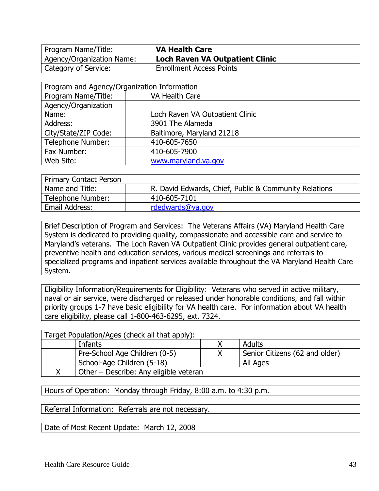Agency/Organization Name: **Loch Raven VA Outpatient Clinic** Category of Service: Enrollment Access Points

| Program and Agency/Organization Information |                                 |  |
|---------------------------------------------|---------------------------------|--|
| Program Name/Title:                         | VA Health Care                  |  |
| Agency/Organization                         |                                 |  |
| Name:                                       | Loch Raven VA Outpatient Clinic |  |
| Address:                                    | 3901 The Alameda                |  |
| City/State/ZIP Code:                        | Baltimore, Maryland 21218       |  |
| <b>Telephone Number:</b>                    | 410-605-7650                    |  |
| Fax Number:                                 | 410-605-7900                    |  |
| Web Site:                                   | www.maryland.va.gov             |  |

| Primary Contact Person |                                                       |
|------------------------|-------------------------------------------------------|
| Name and Title:        | R. David Edwards, Chief, Public & Community Relations |
| Telephone Number:      | 410-605-7101                                          |
| Email Address:         | rdedwards@va.gov                                      |

Brief Description of Program and Services: The Veterans Affairs (VA) Maryland Health Care System is dedicated to providing quality, compassionate and accessible care and service to Maryland's veterans. The Loch Raven VA Outpatient Clinic provides general outpatient care, preventive health and education services, various medical screenings and referrals to specialized programs and inpatient services available throughout the VA Maryland Health Care System.

Eligibility Information/Requirements for Eligibility: Veterans who served in active military, naval or air service, were discharged or released under honorable conditions, and fall within priority groups 1-7 have basic eligibility for VA health care. For information about VA health care eligibility, please call 1-800-463-6295, ext. 7324.

| Target Population/Ages (check all that apply): |                                |
|------------------------------------------------|--------------------------------|
| Infants                                        | Adults                         |
| Pre-School Age Children (0-5)                  | Senior Citizens (62 and older) |
| School-Age Children (5-18)                     | All Ages                       |
| Other - Describe: Any eligible veteran         |                                |

Hours of Operation: Monday through Friday, 8:00 a.m. to 4:30 p.m.

Referral Information: Referrals are not necessary.

Date of Most Recent Update: March 12, 2008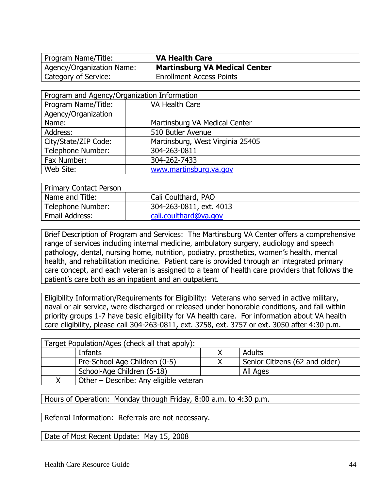Program Name/Title: **VA Health Care** Agency/Organization Name: **Martinsburg VA Medical Center** Category of Service: Enrollment Access Points

| Program and Agency/Organization Information |                                  |  |
|---------------------------------------------|----------------------------------|--|
| Program Name/Title:                         | <b>VA Health Care</b>            |  |
| Agency/Organization                         |                                  |  |
| Name:                                       | Martinsburg VA Medical Center    |  |
| Address:                                    | 510 Butler Avenue                |  |
| City/State/ZIP Code:                        | Martinsburg, West Virginia 25405 |  |
| Telephone Number:                           | 304-263-0811                     |  |
| Fax Number:                                 | 304-262-7433                     |  |
| Web Site:                                   | www.martinsburg.va.gov           |  |

| Primary Contact Person |                         |  |
|------------------------|-------------------------|--|
| Name and Title:        | Cali Coulthard, PAO     |  |
| Telephone Number:      | 304-263-0811, ext. 4013 |  |
| Email Address:         | cali.coulthard@va.gov   |  |

Brief Description of Program and Services: The Martinsburg VA Center offers a comprehensive range of services including internal medicine, ambulatory surgery, audiology and speech pathology, dental, nursing home, nutrition, podiatry, prosthetics, women's health, mental health, and rehabilitation medicine. Patient care is provided through an integrated primary care concept, and each veteran is assigned to a team of health care providers that follows the patient's care both as an inpatient and an outpatient.

Eligibility Information/Requirements for Eligibility: Veterans who served in active military, naval or air service, were discharged or released under honorable conditions, and fall within priority groups 1-7 have basic eligibility for VA health care. For information about VA health care eligibility, please call 304-263-0811, ext. 3758, ext. 3757 or ext. 3050 after 4:30 p.m.

| Target Population/Ages (check all that apply): |                                |
|------------------------------------------------|--------------------------------|
| Infants                                        | Adults                         |
| Pre-School Age Children (0-5)                  | Senior Citizens (62 and older) |
| School-Age Children (5-18)                     | All Ages                       |
| Other - Describe: Any eligible veteran         |                                |

Hours of Operation: Monday through Friday, 8:00 a.m. to 4:30 p.m.

Referral Information: Referrals are not necessary.

Date of Most Recent Update: May 15, 2008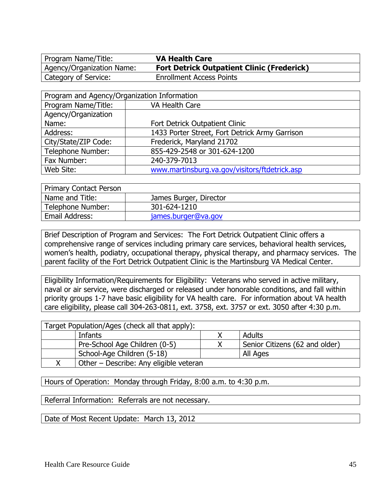Program Name/Title: **VA Health Care** Agency/Organization Name: **Fort Detrick Outpatient Clinic (Frederick)** Category of Service: Enrollment Access Points

| Program and Agency/Organization Information |                                                |  |
|---------------------------------------------|------------------------------------------------|--|
| Program Name/Title:                         | VA Health Care                                 |  |
| Agency/Organization                         |                                                |  |
| Name:                                       | Fort Detrick Outpatient Clinic                 |  |
| Address:                                    | 1433 Porter Street, Fort Detrick Army Garrison |  |
| City/State/ZIP Code:                        | Frederick, Maryland 21702                      |  |
| Telephone Number:                           | 855-429-2548 or 301-624-1200                   |  |
| Fax Number:                                 | 240-379-7013                                   |  |
| Web Site:                                   | www.martinsburg.va.gov/visitors/ftdetrick.asp  |  |

| <b>Primary Contact Person</b> |                        |
|-------------------------------|------------------------|
| Name and Title:               | James Burger, Director |
| Telephone Number:             | 301-624-1210           |
| Email Address:                | james.burger@va.gov    |

Brief Description of Program and Services: The Fort Detrick Outpatient Clinic offers a comprehensive range of services including primary care services, behavioral health services, women's health, podiatry, occupational therapy, physical therapy, and pharmacy services. The parent facility of the Fort Detrick Outpatient Clinic is the Martinsburg VA Medical Center.

Eligibility Information/Requirements for Eligibility: Veterans who served in active military, naval or air service, were discharged or released under honorable conditions, and fall within priority groups 1-7 have basic eligibility for VA health care. For information about VA health care eligibility, please call 304-263-0811, ext. 3758, ext. 3757 or ext. 3050 after 4:30 p.m.

| Target Population/Ages (check all that apply): |                                        |          |                                |  |
|------------------------------------------------|----------------------------------------|----------|--------------------------------|--|
|                                                | Adults<br>Infants                      |          |                                |  |
| Pre-School Age Children (0-5)                  |                                        |          | Senior Citizens (62 and older) |  |
| School-Age Children (5-18)                     |                                        | All Ages |                                |  |
|                                                | Other - Describe: Any eligible veteran |          |                                |  |

Hours of Operation: Monday through Friday, 8:00 a.m. to 4:30 p.m.

Referral Information: Referrals are not necessary.

Date of Most Recent Update: March 13, 2012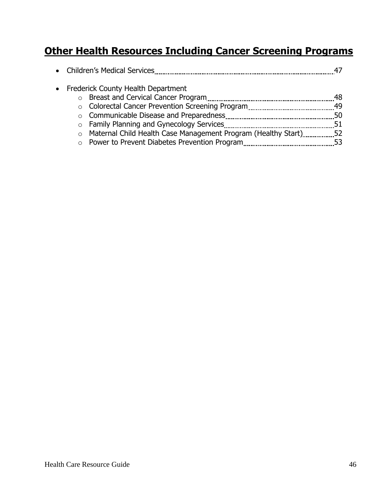#### **Other Health Resources Including Cancer Screening Programs**

|         | • Frederick County Health Department                            |    |
|---------|-----------------------------------------------------------------|----|
|         |                                                                 | 48 |
|         |                                                                 |    |
|         |                                                                 |    |
|         |                                                                 |    |
| $\circ$ | Maternal Child Health Case Management Program (Healthy Start)52 |    |
| $\circ$ |                                                                 | 53 |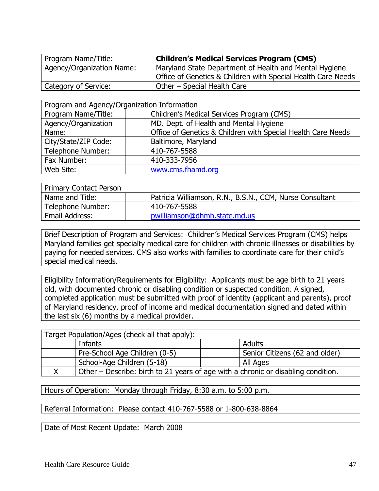| Program Name/Title:         | <b>Children's Medical Services Program (CMS)</b>             |  |  |
|-----------------------------|--------------------------------------------------------------|--|--|
| ' Agency/Organization Name: | Maryland State Department of Health and Mental Hygiene       |  |  |
|                             | Office of Genetics & Children with Special Health Care Needs |  |  |
| Category of Service:        | Other – Special Health Care                                  |  |  |

| Program and Agency/Organization Information |                                                              |  |
|---------------------------------------------|--------------------------------------------------------------|--|
| Program Name/Title:                         | Children's Medical Services Program (CMS)                    |  |
| Agency/Organization                         | MD. Dept. of Health and Mental Hygiene                       |  |
| Name:                                       | Office of Genetics & Children with Special Health Care Needs |  |
| City/State/ZIP Code:                        | Baltimore, Maryland                                          |  |
| <b>Telephone Number:</b>                    | 410-767-5588                                                 |  |
| Fax Number:                                 | 410-333-7956                                                 |  |
| Web Site:                                   | www.cms.fhamd.org                                            |  |

| Primary Contact Person |                                                          |
|------------------------|----------------------------------------------------------|
| Name and Title:        | Patricia Williamson, R.N., B.S.N., CCM, Nurse Consultant |
| Telephone Number:      | 410-767-5588                                             |
| Email Address:         | pwilliamson@dhmh.state.md.us                             |

Brief Description of Program and Services: Children's Medical Services Program (CMS) helps Maryland families get specialty medical care for children with chronic illnesses or disabilities by paying for needed services. CMS also works with families to coordinate care for their child's special medical needs.

Eligibility Information/Requirements for Eligibility: Applicants must be age birth to 21 years old, with documented chronic or disabling condition or suspected condition. A signed, completed application must be submitted with proof of identity (applicant and parents), proof of Maryland residency, proof of income and medical documentation signed and dated within the last six (6) months by a medical provider.

| Target Population/Ages (check all that apply): |                                                                                   |  |                                |
|------------------------------------------------|-----------------------------------------------------------------------------------|--|--------------------------------|
|                                                | Infants                                                                           |  | Adults                         |
|                                                | Pre-School Age Children (0-5)                                                     |  | Senior Citizens (62 and older) |
|                                                | School-Age Children (5-18)                                                        |  | All Ages                       |
|                                                | Other – Describe: birth to 21 years of age with a chronic or disabling condition. |  |                                |

Hours of Operation: Monday through Friday, 8:30 a.m. to 5:00 p.m.

Referral Information: Please contact 410-767-5588 or 1-800-638-8864

Date of Most Recent Update: March 2008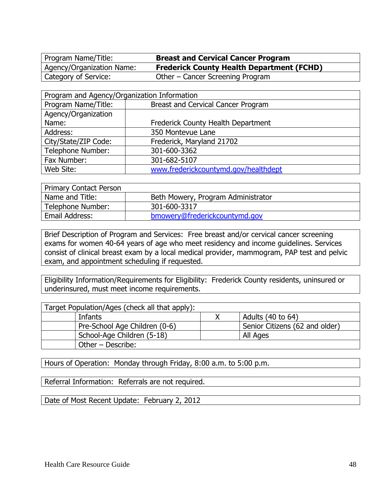Program Name/Title: **Breast and Cervical Cancer Program**

Agency/Organization Name: **Frederick County Health Department (FCHD)**

Category of Service: Other – Cancer Screening Program

| Program and Agency/Organization Information |                                      |  |
|---------------------------------------------|--------------------------------------|--|
| Program Name/Title:                         | Breast and Cervical Cancer Program   |  |
| Agency/Organization                         |                                      |  |
| Name:                                       | Frederick County Health Department   |  |
| Address:                                    | 350 Montevue Lane                    |  |
| City/State/ZIP Code:                        | Frederick, Maryland 21702            |  |
| Telephone Number:                           | 301-600-3362                         |  |
| Fax Number:                                 | 301-682-5107                         |  |
| Web Site:                                   | www.frederickcountymd.gov/healthdept |  |

| <b>Primary Contact Person</b> |                                    |
|-------------------------------|------------------------------------|
| Name and Title:               | Beth Mowery, Program Administrator |
| Telephone Number:             | 301-600-3317                       |
| Email Address:                | bmowery@frederickcountymd.gov      |

Brief Description of Program and Services: Free breast and/or cervical cancer screening exams for women 40-64 years of age who meet residency and income guidelines. Services consist of clinical breast exam by a local medical provider, mammogram, PAP test and pelvic exam, and appointment scheduling if requested.

Eligibility Information/Requirements for Eligibility: Frederick County residents, uninsured or underinsured, must meet income requirements.

| Target Population/Ages (check all that apply): |  |                                |
|------------------------------------------------|--|--------------------------------|
| Infants                                        |  | Adults (40 to 64)              |
| Pre-School Age Children (0-6)                  |  | Senior Citizens (62 and older) |
| School-Age Children (5-18)                     |  | All Ages                       |
| Other - Describe:                              |  |                                |

Hours of Operation: Monday through Friday, 8:00 a.m. to 5:00 p.m.

Referral Information: Referrals are not required.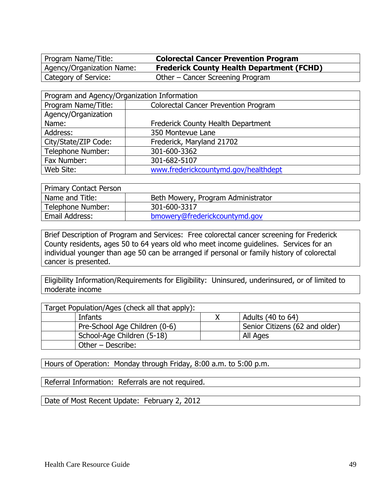Program Name/Title: **Colorectal Cancer Prevention Program** Agency/Organization Name: **Frederick County Health Department (FCHD)** Category of Service: Other – Cancer Screening Program

| Program and Agency/Organization Information |                                             |  |
|---------------------------------------------|---------------------------------------------|--|
| Program Name/Title:                         | <b>Colorectal Cancer Prevention Program</b> |  |
| Agency/Organization                         |                                             |  |
| Name:                                       | Frederick County Health Department          |  |
| Address:                                    | 350 Montevue Lane                           |  |
| City/State/ZIP Code:                        | Frederick, Maryland 21702                   |  |
| Telephone Number:                           | 301-600-3362                                |  |
| Fax Number:                                 | 301-682-5107                                |  |
| Web Site:                                   | www.frederickcountymd.gov/healthdept        |  |

| Primary Contact Person |                                    |
|------------------------|------------------------------------|
| Name and Title:        | Beth Mowery, Program Administrator |
| Telephone Number:      | 301-600-3317                       |
| Email Address:         | bmowery@frederickcountymd.gov      |

Brief Description of Program and Services: Free colorectal cancer screening for Frederick County residents, ages 50 to 64 years old who meet income guidelines. Services for an individual younger than age 50 can be arranged if personal or family history of colorectal cancer is presented.

Eligibility Information/Requirements for Eligibility: Uninsured, underinsured, or of limited to moderate income

| Target Population/Ages (check all that apply): |  |                                |  |
|------------------------------------------------|--|--------------------------------|--|
| Infants                                        |  | Adults (40 to 64)              |  |
| Pre-School Age Children (0-6)                  |  | Senior Citizens (62 and older) |  |
| School-Age Children (5-18)                     |  | All Ages                       |  |
| Other - Describe:                              |  |                                |  |

Hours of Operation: Monday through Friday, 8:00 a.m. to 5:00 p.m.

Referral Information: Referrals are not required.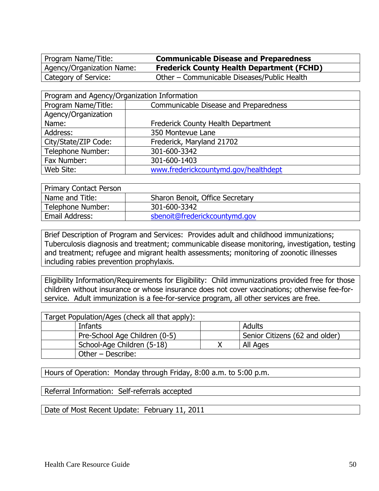Program Name/Title: **Communicable Disease and Preparedness** Agency/Organization Name: **Frederick County Health Department (FCHD)** Category of Service: Other – Communicable Diseases/Public Health

| Program and Agency/Organization Information |                                       |  |
|---------------------------------------------|---------------------------------------|--|
| Program Name/Title:                         | Communicable Disease and Preparedness |  |
| Agency/Organization                         |                                       |  |
| Name:                                       | Frederick County Health Department    |  |
| Address:                                    | 350 Montevue Lane                     |  |
| City/State/ZIP Code:                        | Frederick, Maryland 21702             |  |
| <b>Telephone Number:</b>                    | 301-600-3342                          |  |
| Fax Number:                                 | 301-600-1403                          |  |
| Web Site:                                   | www.frederickcountymd.gov/healthdept  |  |

| <b>Primary Contact Person</b> |                                 |
|-------------------------------|---------------------------------|
| Name and Title:               | Sharon Benoit, Office Secretary |
| Telephone Number:             | 301-600-3342                    |
| Email Address:                | sbenoit@frederickcountymd.gov   |

Brief Description of Program and Services: Provides adult and childhood immunizations; Tuberculosis diagnosis and treatment; communicable disease monitoring, investigation, testing and treatment; refugee and migrant health assessments; monitoring of zoonotic illnesses including rabies prevention prophylaxis.

Eligibility Information/Requirements for Eligibility: Child immunizations provided free for those children without insurance or whose insurance does not cover vaccinations; otherwise fee-forservice. Adult immunization is a fee-for-service program, all other services are free.

| Target Population/Ages (check all that apply): |                                |
|------------------------------------------------|--------------------------------|
| Infants                                        | Adults                         |
| Pre-School Age Children (0-5)                  | Senior Citizens (62 and older) |
| School-Age Children (5-18)                     | All Ages                       |
| Other - Describe:                              |                                |

Hours of Operation: Monday through Friday, 8:00 a.m. to 5:00 p.m.

Referral Information: Self-referrals accepted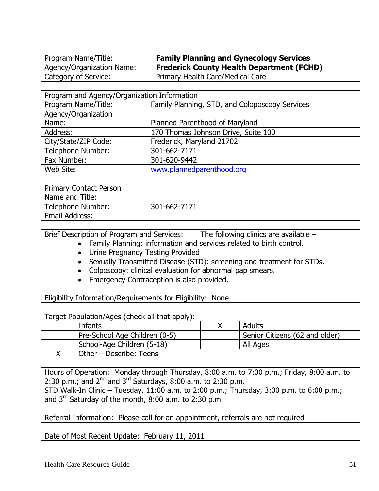Program Name/Title: **Family Planning and Gynecology Services** Agency/Organization Name: **Frederick County Health Department (FCHD)** Category of Service: Primary Health Care/Medical Care

| Program and Agency/Organization Information |                                                |  |
|---------------------------------------------|------------------------------------------------|--|
| Program Name/Title:                         | Family Planning, STD, and Coloposcopy Services |  |
| Agency/Organization                         |                                                |  |
| Name:                                       | Planned Parenthood of Maryland                 |  |
| Address:                                    | 170 Thomas Johnson Drive, Suite 100            |  |
| City/State/ZIP Code:                        | Frederick, Maryland 21702                      |  |
| Telephone Number:                           | 301-662-7171                                   |  |
| Fax Number:                                 | 301-620-9442                                   |  |
| Web Site:                                   | www.plannedparenthood.org                      |  |

| Primary Contact Person |              |
|------------------------|--------------|
| Name and Title:        |              |
| Telephone Number:      | 301-662-7171 |
| <b>Email Address:</b>  |              |

Brief Description of Program and Services: The following clinics are available –

- Family Planning: information and services related to birth control.
	- Urine Pregnancy Testing Provided
	- Sexually Transmitted Disease (STD): screening and treatment for STDs.
	- Colposcopy: clinical evaluation for abnormal pap smears.
	- Emergency Contraception is also provided.

Eligibility Information/Requirements for Eligibility: None

| Target Population/Ages (check all that apply): |                                |
|------------------------------------------------|--------------------------------|
| Infants                                        | Adults                         |
| Pre-School Age Children (0-5)                  | Senior Citizens (62 and older) |
| School-Age Children (5-18)                     | All Ages                       |
| Other – Describe: Teens                        |                                |

Hours of Operation: Monday through Thursday, 8:00 a.m. to 7:00 p.m.; Friday, 8:00 a.m. to 2:30 p.m.; and  $2^{nd}$  and  $3^{rd}$  Saturdays, 8:00 a.m. to 2:30 p.m. STD Walk-In Clinic – Tuesday, 11:00 a.m. to 2:00 p.m.; Thursday, 3:00 p.m. to 6:00 p.m.; and 3rd Saturday of the month, 8:00 a.m. to 2:30 p.m.

Referral Information: Please call for an appointment, referrals are not required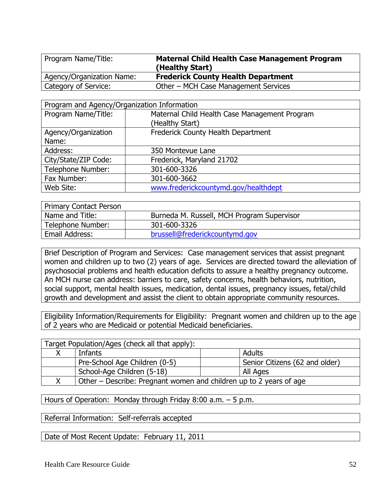| Program Name/Title:       | <b>Maternal Child Health Case Management Program</b><br>(Healthy Start) |
|---------------------------|-------------------------------------------------------------------------|
| Agency/Organization Name: | <b>Frederick County Health Department</b>                               |
| Category of Service:      | Other – MCH Case Management Services                                    |

| Program and Agency/Organization Information |                                               |  |
|---------------------------------------------|-----------------------------------------------|--|
| Program Name/Title:                         | Maternal Child Health Case Management Program |  |
|                                             | (Healthy Start)                               |  |
| Agency/Organization                         | Frederick County Health Department            |  |
| Name:                                       |                                               |  |
| Address:                                    | 350 Montevue Lane                             |  |
| City/State/ZIP Code:                        | Frederick, Maryland 21702                     |  |
| Telephone Number:                           | 301-600-3326                                  |  |
| Fax Number:                                 | 301-600-3662                                  |  |
| Web Site:                                   | www.frederickcountymd.gov/healthdept          |  |

| <b>Primary Contact Person</b> |                                            |
|-------------------------------|--------------------------------------------|
| Name and Title:               | Burneda M. Russell, MCH Program Supervisor |
| Telephone Number:             | 301-600-3326                               |
| Email Address:                | brussell@frederickcountymd.gov             |

Brief Description of Program and Services: Case management services that assist pregnant women and children up to two (2) years of age. Services are directed toward the alleviation of psychosocial problems and health education deficits to assure a healthy pregnancy outcome. An MCH nurse can address: barriers to care, safety concerns, health behaviors, nutrition, social support, mental health issues, medication, dental issues, pregnancy issues, fetal/child growth and development and assist the client to obtain appropriate community resources.

Eligibility Information/Requirements for Eligibility: Pregnant women and children up to the age of 2 years who are Medicaid or potential Medicaid beneficiaries.

| Target Population/Ages (check all that apply):                     |                                |
|--------------------------------------------------------------------|--------------------------------|
| Infants                                                            | Adults                         |
| Pre-School Age Children (0-5)                                      | Senior Citizens (62 and older) |
| School-Age Children (5-18)                                         | All Ages                       |
| Other – Describe: Pregnant women and children up to 2 years of age |                                |

Hours of Operation: Monday through Friday 8:00 a.m. – 5 p.m.

Referral Information: Self-referrals accepted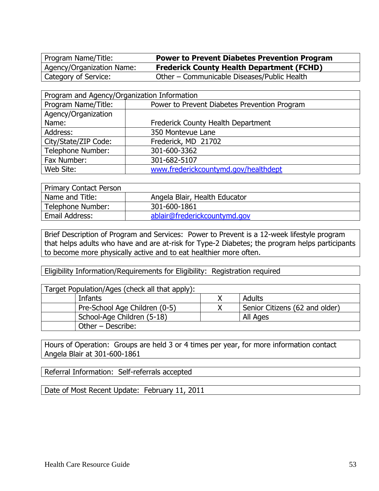Program Name/Title: **Power to Prevent Diabetes Prevention Program** Agency/Organization Name: **Frederick County Health Department (FCHD)** Category of Service: Other – Communicable Diseases/Public Health

| Program and Agency/Organization Information |                                              |  |
|---------------------------------------------|----------------------------------------------|--|
| Program Name/Title:                         | Power to Prevent Diabetes Prevention Program |  |
| Agency/Organization                         |                                              |  |
| Name:                                       | Frederick County Health Department           |  |
| Address:                                    | 350 Montevue Lane                            |  |
| City/State/ZIP Code:                        | Frederick, MD 21702                          |  |
| Telephone Number:                           | 301-600-3362                                 |  |
| Fax Number:                                 | 301-682-5107                                 |  |
| Web Site:                                   | www.frederickcountymd.gov/healthdept         |  |

| <b>Primary Contact Person</b> |                               |
|-------------------------------|-------------------------------|
| Name and Title:               | Angela Blair, Health Educator |
| Telephone Number:             | 301-600-1861                  |
| Email Address:                | ablair@frederickcountymd.gov  |

Brief Description of Program and Services: Power to Prevent is a 12-week lifestyle program that helps adults who have and are at-risk for Type-2 Diabetes; the program helps participants to become more physically active and to eat healthier more often.

Eligibility Information/Requirements for Eligibility: Registration required

| Target Population/Ages (check all that apply): |                               |  |                                |
|------------------------------------------------|-------------------------------|--|--------------------------------|
|                                                | Infants                       |  | Adults                         |
|                                                | Pre-School Age Children (0-5) |  | Senior Citizens (62 and older) |
|                                                | School-Age Children (5-18)    |  | All Ages                       |
|                                                | Other – Describe:             |  |                                |

Hours of Operation: Groups are held 3 or 4 times per year, for more information contact Angela Blair at 301-600-1861

Referral Information: Self-referrals accepted